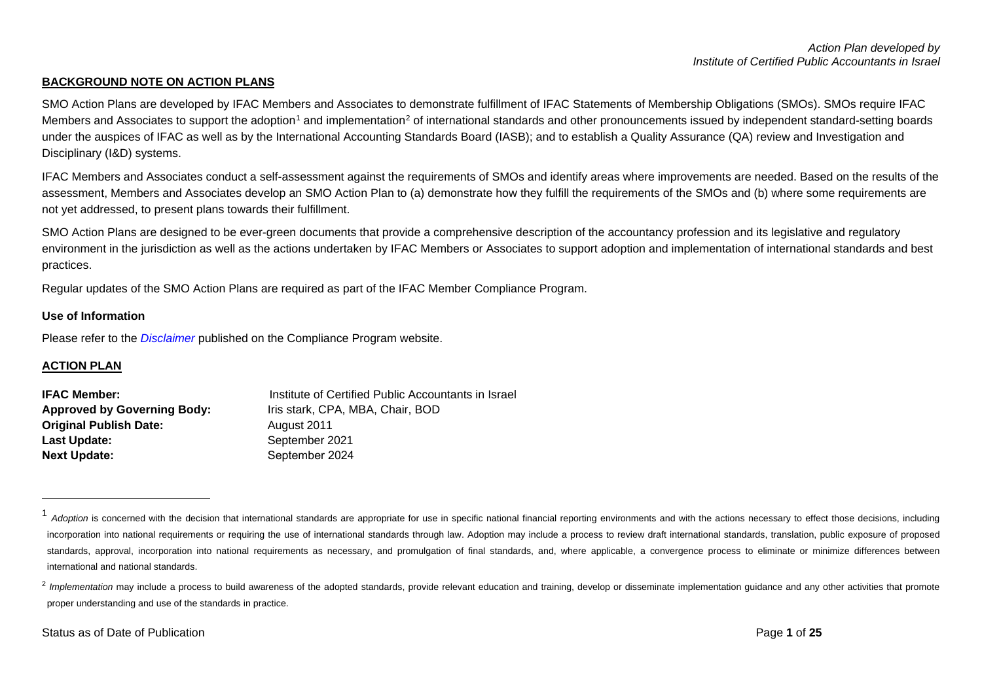## <span id="page-0-1"></span><span id="page-0-0"></span>**BACKGROUND NOTE ON ACTION PLANS**

SMO Action Plans are developed by IFAC Members and Associates to demonstrate fulfillment of IFAC Statements of Membership Obligations (SMOs). SMOs require IFAC Members and Associates to support the adoption<sup>[1](#page-0-0)</sup> and implementation<sup>[2](#page-0-1)</sup> of international standards and other pronouncements issued by independent standard-setting boards under the auspices of IFAC as well as by the International Accounting Standards Board (IASB); and to establish a Quality Assurance (QA) review and Investigation and Disciplinary (I&D) systems.

IFAC Members and Associates conduct a self-assessment against the requirements of SMOs and identify areas where improvements are needed. Based on the results of the assessment, Members and Associates develop an SMO Action Plan to (a) demonstrate how they fulfill the requirements of the SMOs and (b) where some requirements are not yet addressed, to present plans towards their fulfillment.

SMO Action Plans are designed to be ever-green documents that provide a comprehensive description of the accountancy profession and its legislative and regulatory environment in the jurisdiction as well as the actions undertaken by IFAC Members or Associates to support adoption and implementation of international standards and best practices.

Regular updates of the SMO Action Plans are required as part of the IFAC Member Compliance Program.

#### **Use of Information**

Please refer to the *[Disclaimer](http://www.ifac.org/about-ifac/membership/members/disclaimer)* published on the Compliance Program website.

## **ACTION PLAN**

| <b>IFAC Member:</b>                | Institute of Certified Public Accountants in Israel |
|------------------------------------|-----------------------------------------------------|
| <b>Approved by Governing Body:</b> | Iris stark, CPA, MBA, Chair, BOD                    |
| Original Publish Date:             | August 2011                                         |
| Last Update:                       | September 2021                                      |
| <b>Next Update:</b>                | September 2024                                      |

<sup>&</sup>lt;sup>1</sup> Adoption is concerned with the decision that international standards are appropriate for use in specific national financial reporting environments and with the actions necessary to effect those decisions, including incorporation into national requirements or requiring the use of international standards through law. Adoption may include a process to review draft international standards, translation, public exposure of proposed standards, approval, incorporation into national requirements as necessary, and promulgation of final standards, and, where applicable, a convergence process to eliminate or minimize differences between international and national standards.

<sup>&</sup>lt;sup>2</sup> Implementation may include a process to build awareness of the adopted standards, provide relevant education and training, develop or disseminate implementation guidance and any other activities that promote proper understanding and use of the standards in practice.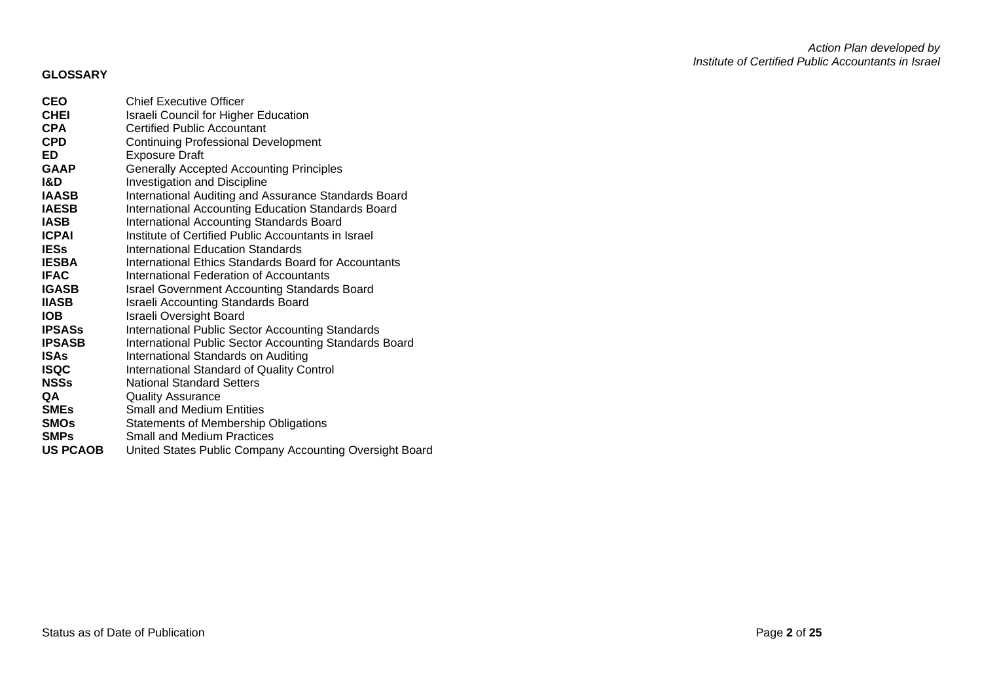# **GLOSSARY**

| CEO             | <b>Chief Executive Officer</b>                              |
|-----------------|-------------------------------------------------------------|
| <b>CHEI</b>     | <b>Israeli Council for Higher Education</b>                 |
| CPA             | <b>Certified Public Accountant</b>                          |
| <b>CPD</b>      | <b>Continuing Professional Development</b>                  |
| ED              | <b>Exposure Draft</b>                                       |
| <b>GAAP</b>     | <b>Generally Accepted Accounting Principles</b>             |
| I&D             | Investigation and Discipline                                |
| <b>IAASB</b>    | International Auditing and Assurance Standards Board        |
| <b>IAESB</b>    | International Accounting Education Standards Board          |
| IASB            | International Accounting Standards Board                    |
| <b>ICPAI</b>    | Institute of Certified Public Accountants in Israel         |
| <b>IESs</b>     | International Education Standards                           |
| <b>IESBA</b>    | <b>International Ethics Standards Board for Accountants</b> |
| <b>IFAC</b>     | International Federation of Accountants                     |
| <b>IGASB</b>    | <b>Israel Government Accounting Standards Board</b>         |
| IIASB           | <b>Israeli Accounting Standards Board</b>                   |
| IOB             | Israeli Oversight Board                                     |
| <b>IPSASs</b>   | International Public Sector Accounting Standards            |
| IPSASB          | International Public Sector Accounting Standards Board      |
| ISAs            | International Standards on Auditing                         |
| ISQC            | International Standard of Quality Control                   |
| NSSs            | <b>National Standard Setters</b>                            |
| QA              | <b>Quality Assurance</b>                                    |
| <b>SMEs</b>     | <b>Small and Medium Entities</b>                            |
| SMOs            | <b>Statements of Membership Obligations</b>                 |
| <b>SMPs</b>     | <b>Small and Medium Practices</b>                           |
| <b>US PCAOB</b> | United States Public Company Accounting Oversight Board     |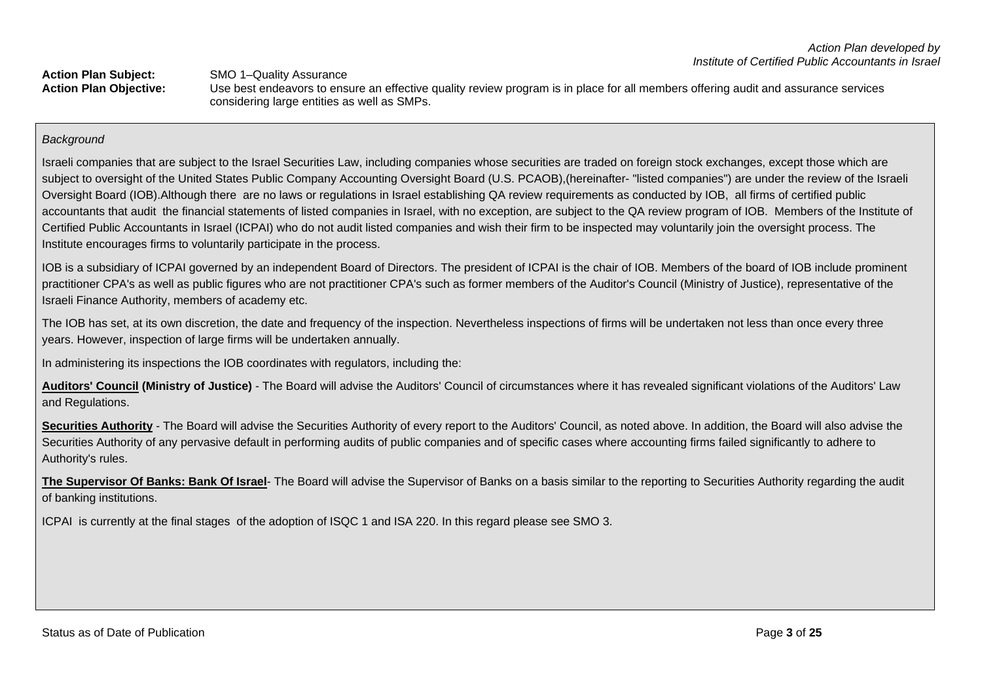Action Plan Subject:<br>
Action Plan Objective:<br>
Use best endeavors to ens **Action Plan Objective:** Use best endeavors to ensure an effective quality review program is in place for all members offering audit and assurance services considering large entities as well as SMPs.

## *Background*

Israeli companies that are subject to the Israel Securities Law, including companies whose securities are traded on foreign stock exchanges, except those which are subject to oversight of the United States Public Company Accounting Oversight Board (U.S. PCAOB), (hereinafter- "listed companies") are under the review of the Israeli Oversight Board (IOB).Although there are no laws or regulations in Israel establishing QA review requirements as conducted by IOB, all firms of certified public accountants that audit the financial statements of listed companies in Israel, with no exception, are subject to the QA review program of IOB. Members of the Institute of Certified Public Accountants in Israel (ICPAI) who do not audit listed companies and wish their firm to be inspected may voluntarily join the oversight process. The Institute encourages firms to voluntarily participate in the process.

IOB is a subsidiary of ICPAI governed by an independent Board of Directors. The president of ICPAI is the chair of IOB. Members of the board of IOB include prominent practitioner CPA's as well as public figures who are not practitioner CPA's such as former members of the Auditor's Council (Ministry of Justice), representative of the Israeli Finance Authority, members of academy etc.

The IOB has set, at its own discretion, the date and frequency of the inspection. Nevertheless inspections of firms will be undertaken not less than once every three years. However, inspection of large firms will be undertaken annually.

In administering its inspections the IOB coordinates with regulators, including the:

**Auditors' Council (Ministry of Justice)** - The Board will advise the Auditors' Council of circumstances where it has revealed significant violations of the Auditors' Law and Regulations.

Securities Authority - The Board will advise the Securities Authority of every report to the Auditors' Council, as noted above. In addition, the Board will also advise the Securities Authority of any pervasive default in performing audits of public companies and of specific cases where accounting firms failed significantly to adhere to Authority's rules.

**The Supervisor Of Banks: Bank Of Israel**- The Board will advise the Supervisor of Banks on a basis similar to the reporting to Securities Authority regarding the audit of banking institutions.

ICPAI is currently at the final stages of the adoption of ISQC 1 and ISA 220. In this regard please see SMO 3.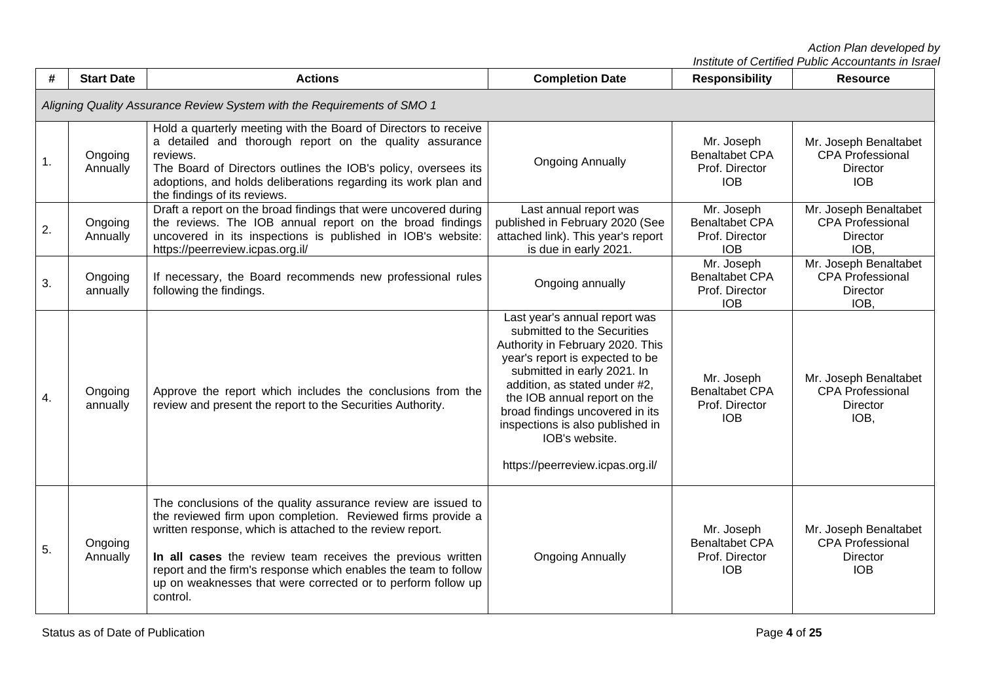| #  | <b>Start Date</b>                                                       | <b>Actions</b>                                                                                                                                                                                                                                                                                                                                                                                         | <b>Completion Date</b>                                                                                                                                                                                                                                                                                                                                           | <b>Responsibility</b>                                               | <b>Resource</b>                                                                   |  |  |  |
|----|-------------------------------------------------------------------------|--------------------------------------------------------------------------------------------------------------------------------------------------------------------------------------------------------------------------------------------------------------------------------------------------------------------------------------------------------------------------------------------------------|------------------------------------------------------------------------------------------------------------------------------------------------------------------------------------------------------------------------------------------------------------------------------------------------------------------------------------------------------------------|---------------------------------------------------------------------|-----------------------------------------------------------------------------------|--|--|--|
|    | Aligning Quality Assurance Review System with the Requirements of SMO 1 |                                                                                                                                                                                                                                                                                                                                                                                                        |                                                                                                                                                                                                                                                                                                                                                                  |                                                                     |                                                                                   |  |  |  |
| 1. | Ongoing<br>Annually                                                     | Hold a quarterly meeting with the Board of Directors to receive<br>a detailed and thorough report on the quality assurance<br>reviews.<br>The Board of Directors outlines the IOB's policy, oversees its<br>adoptions, and holds deliberations regarding its work plan and<br>the findings of its reviews.                                                                                             | <b>Ongoing Annually</b>                                                                                                                                                                                                                                                                                                                                          | Mr. Joseph<br><b>Benaltabet CPA</b><br>Prof. Director<br><b>IOB</b> | Mr. Joseph Benaltabet<br><b>CPA Professional</b><br><b>Director</b><br><b>IOB</b> |  |  |  |
| 2. | Ongoing<br>Annually                                                     | Draft a report on the broad findings that were uncovered during<br>the reviews. The IOB annual report on the broad findings<br>uncovered in its inspections is published in IOB's website:<br>https://peerreview.icpas.org.il/                                                                                                                                                                         | Last annual report was<br>published in February 2020 (See<br>attached link). This year's report<br>is due in early 2021.                                                                                                                                                                                                                                         | Mr. Joseph<br><b>Benaltabet CPA</b><br>Prof. Director<br><b>IOB</b> | Mr. Joseph Benaltabet<br><b>CPA Professional</b><br><b>Director</b><br>IOB,       |  |  |  |
| 3. | Ongoing<br>annually                                                     | If necessary, the Board recommends new professional rules<br>following the findings.                                                                                                                                                                                                                                                                                                                   | Ongoing annually                                                                                                                                                                                                                                                                                                                                                 | Mr. Joseph<br><b>Benaltabet CPA</b><br>Prof. Director<br><b>IOB</b> | Mr. Joseph Benaltabet<br><b>CPA Professional</b><br><b>Director</b><br>IOB.       |  |  |  |
| 4. | Ongoing<br>annually                                                     | Approve the report which includes the conclusions from the<br>review and present the report to the Securities Authority.                                                                                                                                                                                                                                                                               | Last year's annual report was<br>submitted to the Securities<br>Authority in February 2020. This<br>year's report is expected to be<br>submitted in early 2021. In<br>addition, as stated under #2,<br>the IOB annual report on the<br>broad findings uncovered in its<br>inspections is also published in<br>IOB's website.<br>https://peerreview.icpas.org.il/ | Mr. Joseph<br><b>Benaltabet CPA</b><br>Prof. Director<br><b>IOB</b> | Mr. Joseph Benaltabet<br><b>CPA Professional</b><br>Director<br>IOB,              |  |  |  |
| 5. | Ongoing<br>Annually                                                     | The conclusions of the quality assurance review are issued to<br>the reviewed firm upon completion. Reviewed firms provide a<br>written response, which is attached to the review report.<br>In all cases the review team receives the previous written<br>report and the firm's response which enables the team to follow<br>up on weaknesses that were corrected or to perform follow up<br>control. | <b>Ongoing Annually</b>                                                                                                                                                                                                                                                                                                                                          | Mr. Joseph<br><b>Benaltabet CPA</b><br>Prof. Director<br><b>IOB</b> | Mr. Joseph Benaltabet<br><b>CPA Professional</b><br><b>Director</b><br><b>IOB</b> |  |  |  |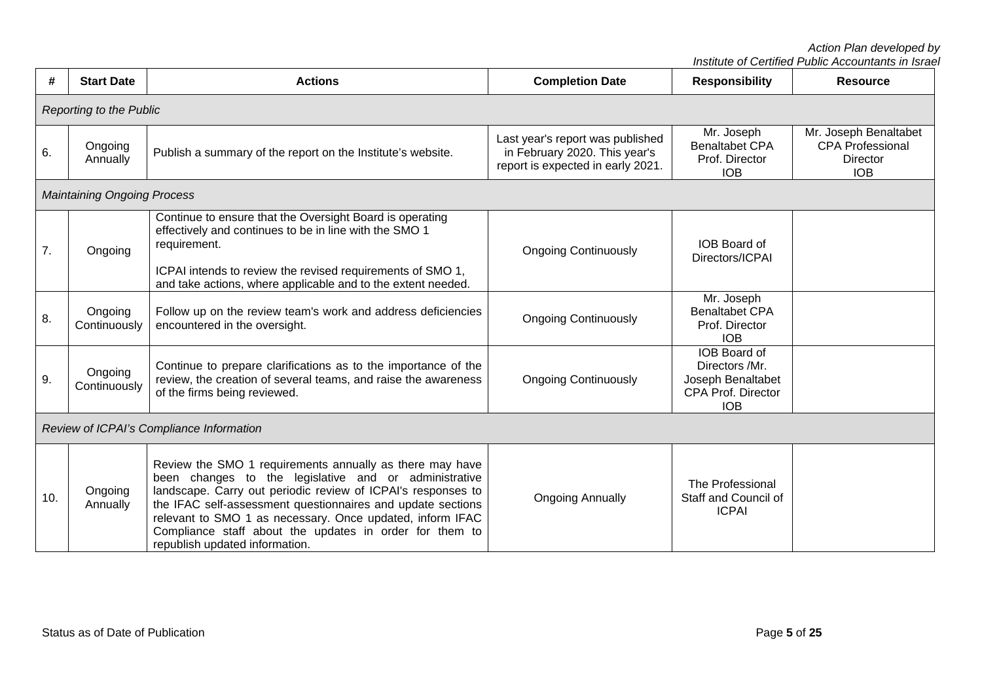| #   | <b>Start Date</b>                        | <b>Actions</b>                                                                                                                                                                                                                                                                                                                                                                                             | <b>Completion Date</b>                                                                                 | <b>Responsibility</b>                                                                          | <b>Resource</b>                                                                   |  |  |  |  |
|-----|------------------------------------------|------------------------------------------------------------------------------------------------------------------------------------------------------------------------------------------------------------------------------------------------------------------------------------------------------------------------------------------------------------------------------------------------------------|--------------------------------------------------------------------------------------------------------|------------------------------------------------------------------------------------------------|-----------------------------------------------------------------------------------|--|--|--|--|
|     | <b>Reporting to the Public</b>           |                                                                                                                                                                                                                                                                                                                                                                                                            |                                                                                                        |                                                                                                |                                                                                   |  |  |  |  |
| 6.  | Ongoing<br>Annually                      | Publish a summary of the report on the Institute's website.                                                                                                                                                                                                                                                                                                                                                | Last year's report was published<br>in February 2020. This year's<br>report is expected in early 2021. | Mr. Joseph<br><b>Benaltabet CPA</b><br>Prof. Director<br><b>IOB</b>                            | Mr. Joseph Benaltabet<br><b>CPA Professional</b><br><b>Director</b><br><b>IOB</b> |  |  |  |  |
|     | <b>Maintaining Ongoing Process</b>       |                                                                                                                                                                                                                                                                                                                                                                                                            |                                                                                                        |                                                                                                |                                                                                   |  |  |  |  |
| 7.  | Ongoing                                  | Continue to ensure that the Oversight Board is operating<br>effectively and continues to be in line with the SMO 1<br>requirement.<br>ICPAI intends to review the revised requirements of SMO 1,<br>and take actions, where applicable and to the extent needed.                                                                                                                                           | <b>Ongoing Continuously</b>                                                                            | <b>IOB</b> Board of<br>Directors/ICPAI                                                         |                                                                                   |  |  |  |  |
| 8.  | Ongoing<br>Continuously                  | Follow up on the review team's work and address deficiencies<br>encountered in the oversight.                                                                                                                                                                                                                                                                                                              | <b>Ongoing Continuously</b>                                                                            | Mr. Joseph<br><b>Benaltabet CPA</b><br>Prof. Director<br><b>IOB</b>                            |                                                                                   |  |  |  |  |
| 9.  | Ongoing<br>Continuously                  | Continue to prepare clarifications as to the importance of the<br>review, the creation of several teams, and raise the awareness<br>of the firms being reviewed.                                                                                                                                                                                                                                           | <b>Ongoing Continuously</b>                                                                            | IOB Board of<br>Directors /Mr.<br>Joseph Benaltabet<br><b>CPA Prof. Director</b><br><b>IOB</b> |                                                                                   |  |  |  |  |
|     | Review of ICPAI's Compliance Information |                                                                                                                                                                                                                                                                                                                                                                                                            |                                                                                                        |                                                                                                |                                                                                   |  |  |  |  |
| 10. | Ongoing<br>Annually                      | Review the SMO 1 requirements annually as there may have<br>been changes to the legislative and or administrative<br>landscape. Carry out periodic review of ICPAI's responses to<br>the IFAC self-assessment questionnaires and update sections<br>relevant to SMO 1 as necessary. Once updated, inform IFAC<br>Compliance staff about the updates in order for them to<br>republish updated information. | <b>Ongoing Annually</b>                                                                                | The Professional<br>Staff and Council of<br><b>ICPAI</b>                                       |                                                                                   |  |  |  |  |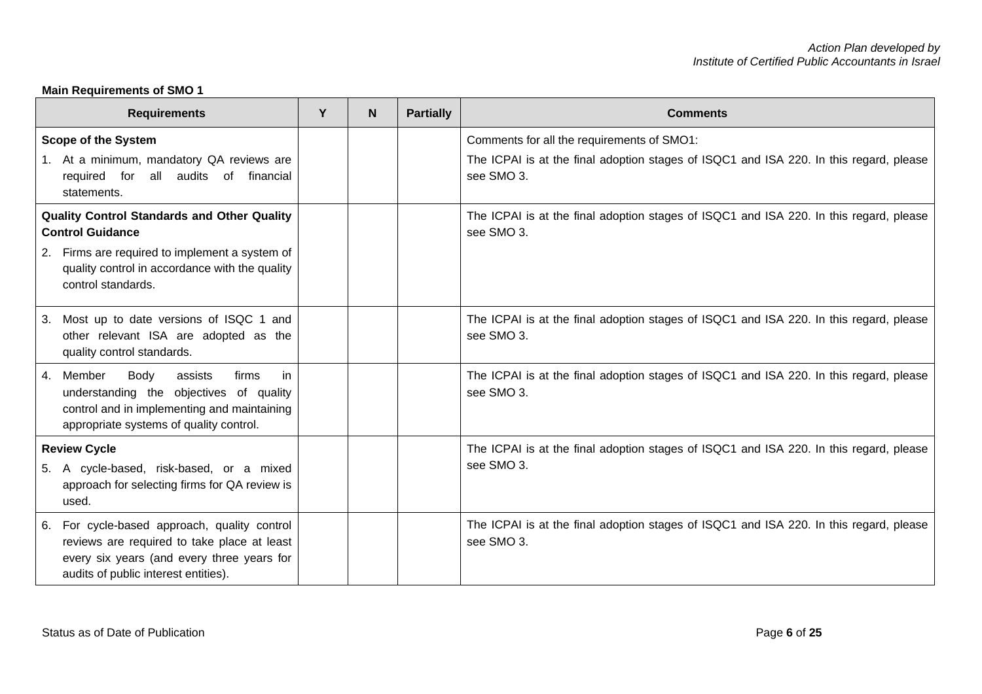# **Main Requirements of SMO 1**

| <b>Requirements</b>                                                                                                                                                                                     | Y | N | <b>Partially</b> | <b>Comments</b>                                                                                                                                    |
|---------------------------------------------------------------------------------------------------------------------------------------------------------------------------------------------------------|---|---|------------------|----------------------------------------------------------------------------------------------------------------------------------------------------|
| <b>Scope of the System</b><br>1. At a minimum, mandatory QA reviews are<br>all audits of<br>financial<br>required<br>for<br>statements.                                                                 |   |   |                  | Comments for all the requirements of SMO1:<br>The ICPAI is at the final adoption stages of ISQC1 and ISA 220. In this regard, please<br>see SMO 3. |
| <b>Quality Control Standards and Other Quality</b><br><b>Control Guidance</b><br>2. Firms are required to implement a system of<br>quality control in accordance with the quality<br>control standards. |   |   |                  | The ICPAI is at the final adoption stages of ISQC1 and ISA 220. In this regard, please<br>see SMO 3.                                               |
| Most up to date versions of ISQC 1 and<br>3.<br>other relevant ISA are adopted as the<br>quality control standards.                                                                                     |   |   |                  | The ICPAI is at the final adoption stages of ISQC1 and ISA 220. In this regard, please<br>see SMO 3.                                               |
| 4. Member<br><b>Body</b><br>assists<br>firms<br>in<br>understanding the objectives of quality<br>control and in implementing and maintaining<br>appropriate systems of quality control.                 |   |   |                  | The ICPAI is at the final adoption stages of ISQC1 and ISA 220. In this regard, please<br>see SMO 3.                                               |
| <b>Review Cycle</b><br>5. A cycle-based, risk-based, or a mixed<br>approach for selecting firms for QA review is<br>used.                                                                               |   |   |                  | The ICPAI is at the final adoption stages of ISQC1 and ISA 220. In this regard, please<br>see SMO 3.                                               |
| 6. For cycle-based approach, quality control<br>reviews are required to take place at least<br>every six years (and every three years for<br>audits of public interest entities).                       |   |   |                  | The ICPAI is at the final adoption stages of ISQC1 and ISA 220. In this regard, please<br>see SMO 3.                                               |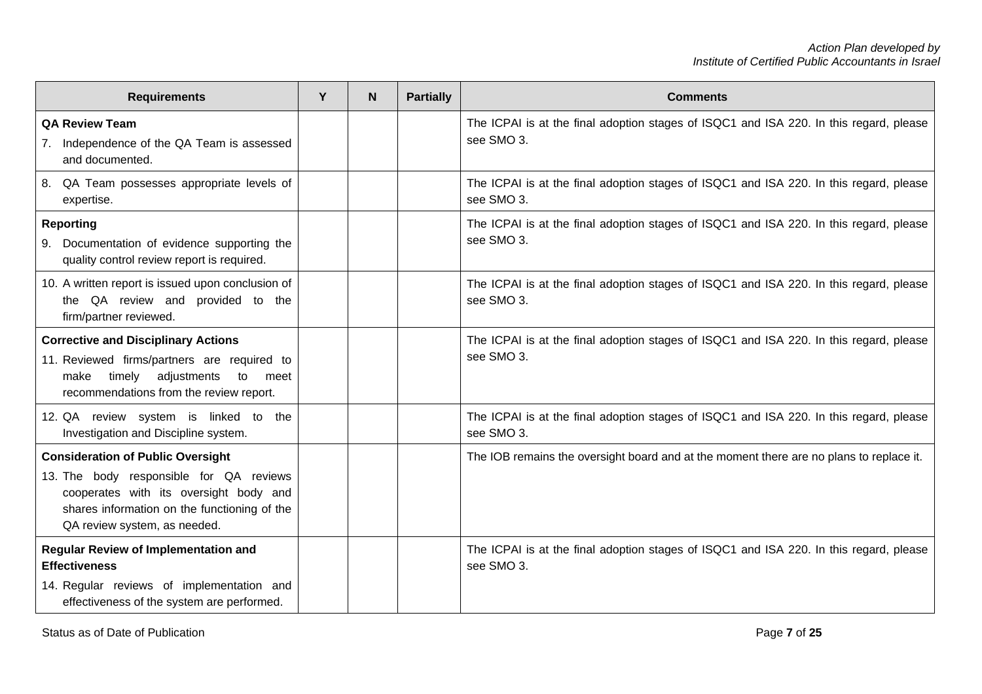| <b>Requirements</b>                                                                                                                                                                                           | Y | N | <b>Partially</b> | <b>Comments</b>                                                                                      |
|---------------------------------------------------------------------------------------------------------------------------------------------------------------------------------------------------------------|---|---|------------------|------------------------------------------------------------------------------------------------------|
| <b>QA Review Team</b><br>7. Independence of the QA Team is assessed<br>and documented.                                                                                                                        |   |   |                  | The ICPAI is at the final adoption stages of ISQC1 and ISA 220. In this regard, please<br>see SMO 3. |
| 8. QA Team possesses appropriate levels of<br>expertise.                                                                                                                                                      |   |   |                  | The ICPAI is at the final adoption stages of ISQC1 and ISA 220. In this regard, please<br>see SMO 3. |
| <b>Reporting</b><br>9. Documentation of evidence supporting the<br>quality control review report is required.                                                                                                 |   |   |                  | The ICPAI is at the final adoption stages of ISQC1 and ISA 220. In this regard, please<br>see SMO 3. |
| 10. A written report is issued upon conclusion of<br>the QA review and provided to the<br>firm/partner reviewed.                                                                                              |   |   |                  | The ICPAI is at the final adoption stages of ISQC1 and ISA 220. In this regard, please<br>see SMO 3. |
| <b>Corrective and Disciplinary Actions</b><br>11. Reviewed firms/partners are required to<br>timely adjustments<br>to meet<br>make<br>recommendations from the review report.                                 |   |   |                  | The ICPAI is at the final adoption stages of ISQC1 and ISA 220. In this regard, please<br>see SMO 3. |
| 12. QA review system is linked to the<br>Investigation and Discipline system.                                                                                                                                 |   |   |                  | The ICPAI is at the final adoption stages of ISQC1 and ISA 220. In this regard, please<br>see SMO 3. |
| <b>Consideration of Public Oversight</b><br>13. The body responsible for QA reviews<br>cooperates with its oversight body and<br>shares information on the functioning of the<br>QA review system, as needed. |   |   |                  | The IOB remains the oversight board and at the moment there are no plans to replace it.              |
| <b>Regular Review of Implementation and</b><br><b>Effectiveness</b><br>14. Regular reviews of implementation and<br>effectiveness of the system are performed.                                                |   |   |                  | The ICPAI is at the final adoption stages of ISQC1 and ISA 220. In this regard, please<br>see SMO 3. |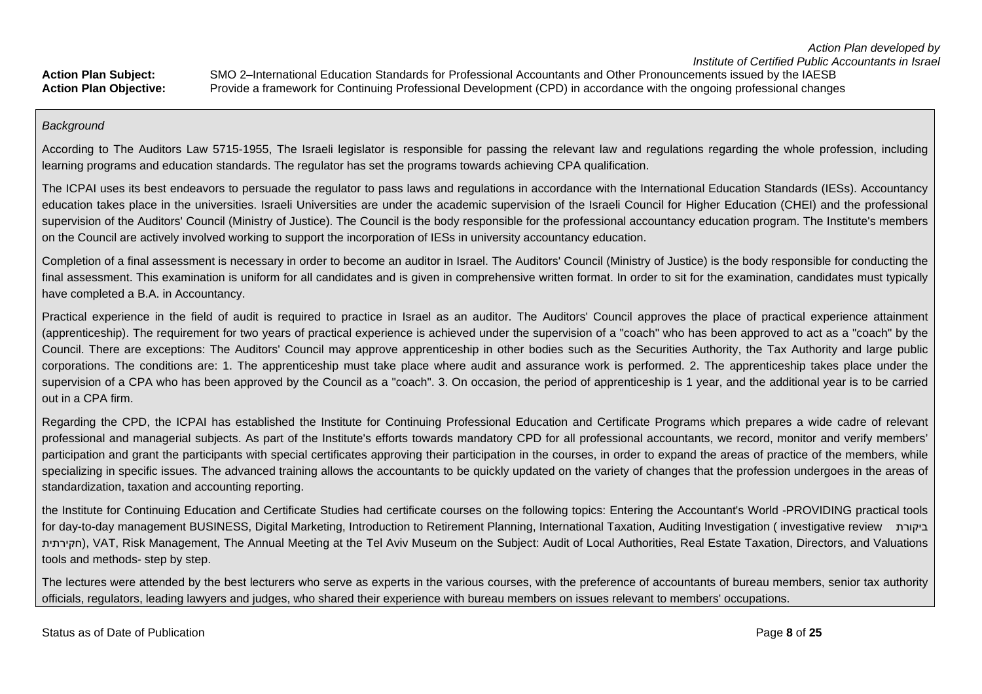### *Background*

According to The Auditors Law 5715-1955, The Israeli legislator is responsible for passing the relevant law and regulations regarding the whole profession, including learning programs and education standards. The regulator has set the programs towards achieving CPA qualification.

The ICPAI uses its best endeavors to persuade the regulator to pass laws and regulations in accordance with the International Education Standards (IESs). Accountancy education takes place in the universities. Israeli Universities are under the academic supervision of the Israeli Council for Higher Education (CHEI) and the professional supervision of the Auditors' Council (Ministry of Justice). The Council is the body responsible for the professional accountancy education program. The Institute's members on the Council are actively involved working to support the incorporation of IESs in university accountancy education.

Completion of a final assessment is necessary in order to become an auditor in Israel. The Auditors' Council (Ministry of Justice) is the body responsible for conducting the final assessment. This examination is uniform for all candidates and is given in comprehensive written format. In order to sit for the examination, candidates must typically have completed a B.A. in Accountancy.

Practical experience in the field of audit is required to practice in Israel as an auditor. The Auditors' Council approves the place of practical experience attainment (apprenticeship). The requirement for two years of practical experience is achieved under the supervision of a "coach" who has been approved to act as a "coach" by the Council. There are exceptions: The Auditors' Council may approve apprenticeship in other bodies such as the Securities Authority, the Tax Authority and large public corporations. The conditions are: 1. The apprenticeship must take place where audit and assurance work is performed. 2. The apprenticeship takes place under the supervision of a CPA who has been approved by the Council as a "coach". 3. On occasion, the period of apprenticeship is 1 year, and the additional year is to be carried out in a CPA firm.

Regarding the CPD, the ICPAI has established the Institute for Continuing Professional Education and Certificate Programs which prepares a wide cadre of relevant professional and managerial subjects. As part of the Institute's efforts towards mandatory CPD for all professional accountants, we record, monitor and verify members' participation and grant the participants with special certificates approving their participation in the courses, in order to expand the areas of practice of the members, while specializing in specific issues. The advanced training allows the accountants to be quickly updated on the variety of changes that the profession undergoes in the areas of standardization, taxation and accounting reporting.

the Institute for Continuing Education and Certificate Studies had certificate courses on the following topics: Entering the Accountant's World -PROVIDING practical tools for day-to-day management BUSINESS, Digital Marketing, Introduction to Retirement Planning, International Taxation, Auditing Investigation ( investigative review ביקורת חקירתית), VAT, Risk Management, The Annual Meeting at the Tel Aviv Museum on the Subject: Audit of Local Authorities, Real Estate Taxation, Directors, and Valuations tools and methods- step by step.

The lectures were attended by the best lecturers who serve as experts in the various courses, with the preference of accountants of bureau members, senior tax authority officials, regulators, leading lawyers and judges, who shared their experience with bureau members on issues relevant to members' occupations.

Status as of Date of Publication **Page 8** of 25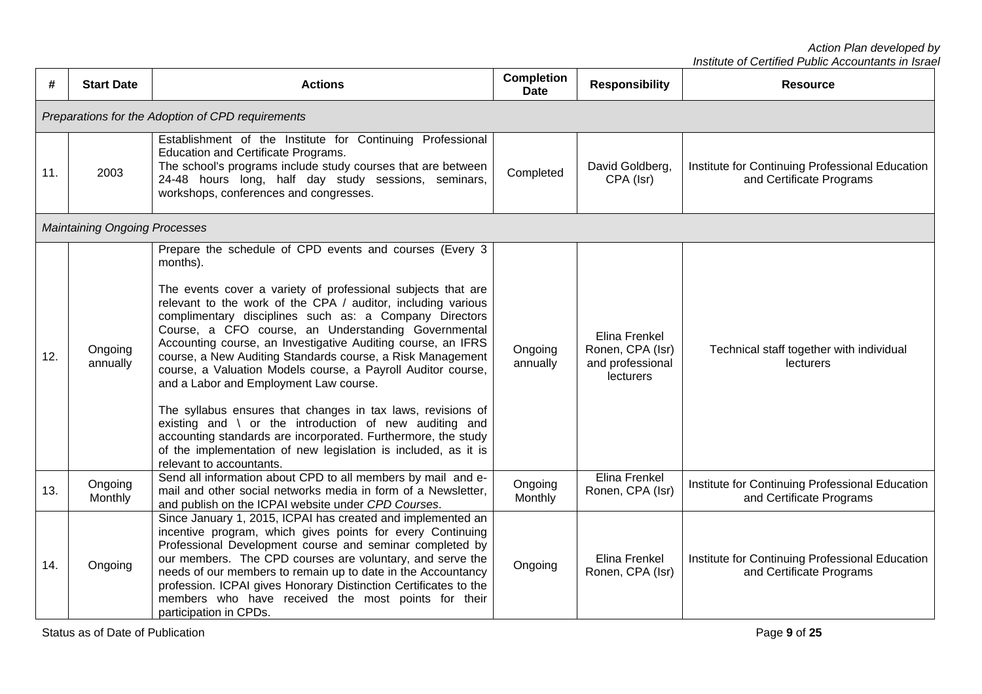*Institute of Certified Public Accountants in Israel*

| #   | <b>Start Date</b>                                 | <b>Actions</b>                                                                                                                                                                                                                                                                                                                                                                                                                                                                                                                                                                                                                                                                                                                                                                                                                                       | <b>Completion</b><br><b>Date</b> | <b>Responsibility</b>                                              | <b>Resource</b>                                                             |  |  |  |  |
|-----|---------------------------------------------------|------------------------------------------------------------------------------------------------------------------------------------------------------------------------------------------------------------------------------------------------------------------------------------------------------------------------------------------------------------------------------------------------------------------------------------------------------------------------------------------------------------------------------------------------------------------------------------------------------------------------------------------------------------------------------------------------------------------------------------------------------------------------------------------------------------------------------------------------------|----------------------------------|--------------------------------------------------------------------|-----------------------------------------------------------------------------|--|--|--|--|
|     | Preparations for the Adoption of CPD requirements |                                                                                                                                                                                                                                                                                                                                                                                                                                                                                                                                                                                                                                                                                                                                                                                                                                                      |                                  |                                                                    |                                                                             |  |  |  |  |
| 11. | 2003                                              | Establishment of the Institute for Continuing Professional<br>Education and Certificate Programs.<br>The school's programs include study courses that are between<br>24-48 hours long, half day study sessions, seminars,<br>workshops, conferences and congresses.                                                                                                                                                                                                                                                                                                                                                                                                                                                                                                                                                                                  | Completed                        | David Goldberg,<br>CPA (Isr)                                       | Institute for Continuing Professional Education<br>and Certificate Programs |  |  |  |  |
|     | <b>Maintaining Ongoing Processes</b>              |                                                                                                                                                                                                                                                                                                                                                                                                                                                                                                                                                                                                                                                                                                                                                                                                                                                      |                                  |                                                                    |                                                                             |  |  |  |  |
| 12. | Ongoing<br>annually                               | Prepare the schedule of CPD events and courses (Every 3<br>months).<br>The events cover a variety of professional subjects that are<br>relevant to the work of the CPA / auditor, including various<br>complimentary disciplines such as: a Company Directors<br>Course, a CFO course, an Understanding Governmental<br>Accounting course, an Investigative Auditing course, an IFRS<br>course, a New Auditing Standards course, a Risk Management<br>course, a Valuation Models course, a Payroll Auditor course,<br>and a Labor and Employment Law course.<br>The syllabus ensures that changes in tax laws, revisions of<br>existing and \ or the introduction of new auditing and<br>accounting standards are incorporated. Furthermore, the study<br>of the implementation of new legislation is included, as it is<br>relevant to accountants. | Ongoing<br>annually              | Elina Frenkel<br>Ronen, CPA (Isr)<br>and professional<br>lecturers | Technical staff together with individual<br>lecturers                       |  |  |  |  |
| 13. | Ongoing<br>Monthly                                | Send all information about CPD to all members by mail and e-<br>mail and other social networks media in form of a Newsletter,<br>and publish on the ICPAI website under CPD Courses.                                                                                                                                                                                                                                                                                                                                                                                                                                                                                                                                                                                                                                                                 | Ongoing<br>Monthly               | Elina Frenkel<br>Ronen, CPA (Isr)                                  | Institute for Continuing Professional Education<br>and Certificate Programs |  |  |  |  |
| 14. | Ongoing                                           | Since January 1, 2015, ICPAI has created and implemented an<br>incentive program, which gives points for every Continuing<br>Professional Development course and seminar completed by<br>our members. The CPD courses are voluntary, and serve the<br>needs of our members to remain up to date in the Accountancy<br>profession. ICPAI gives Honorary Distinction Certificates to the<br>members who have received the most points for their<br>participation in CPDs.                                                                                                                                                                                                                                                                                                                                                                              | Ongoing                          | Elina Frenkel<br>Ronen, CPA (Isr)                                  | Institute for Continuing Professional Education<br>and Certificate Programs |  |  |  |  |

Status as of Date of Publication **Page 9** of 25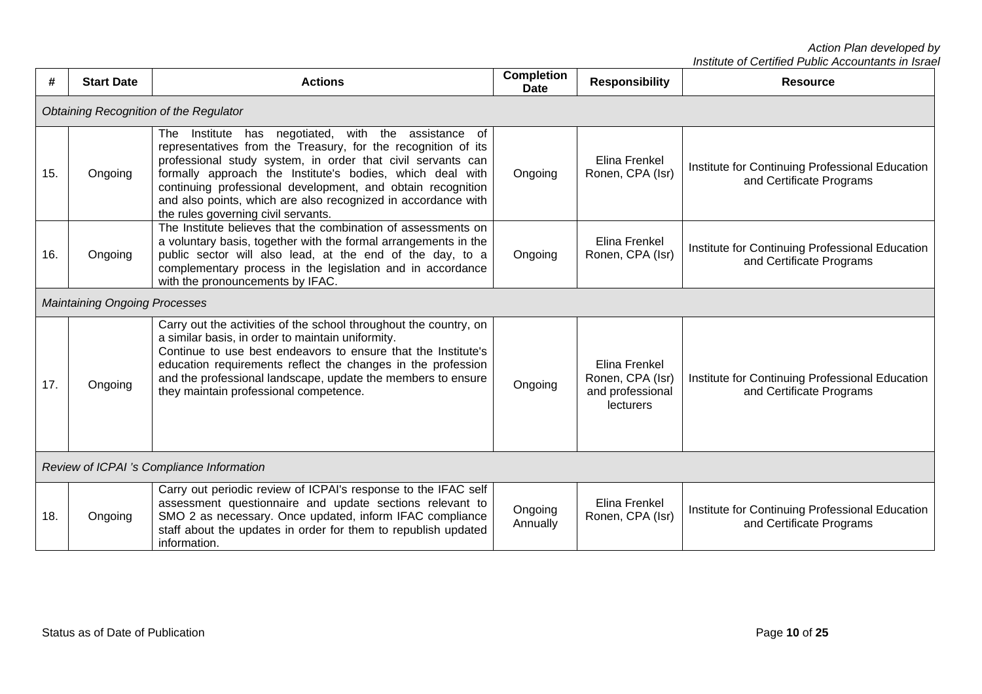| #   | <b>Start Date</b>                         | <b>Actions</b>                                                                                                                                                                                                                                                                                                                                                                                                              | <b>Completion</b><br><b>Date</b> | <b>Responsibility</b>                                              | <b>Resource</b>                                                             |  |  |
|-----|-------------------------------------------|-----------------------------------------------------------------------------------------------------------------------------------------------------------------------------------------------------------------------------------------------------------------------------------------------------------------------------------------------------------------------------------------------------------------------------|----------------------------------|--------------------------------------------------------------------|-----------------------------------------------------------------------------|--|--|
|     |                                           | Obtaining Recognition of the Regulator                                                                                                                                                                                                                                                                                                                                                                                      |                                  |                                                                    |                                                                             |  |  |
| 15. | Ongoing                                   | negotiated, with the assistance of<br>The Institute has<br>representatives from the Treasury, for the recognition of its<br>professional study system, in order that civil servants can<br>formally approach the Institute's bodies, which deal with<br>continuing professional development, and obtain recognition<br>and also points, which are also recognized in accordance with<br>the rules governing civil servants. | Ongoing                          | Elina Frenkel<br>Ronen, CPA (Isr)                                  | Institute for Continuing Professional Education<br>and Certificate Programs |  |  |
| 16. | Ongoing                                   | The Institute believes that the combination of assessments on<br>a voluntary basis, together with the formal arrangements in the<br>public sector will also lead, at the end of the day, to a<br>complementary process in the legislation and in accordance<br>with the pronouncements by IFAC.                                                                                                                             | Ongoing                          | Elina Frenkel<br>Ronen, CPA (Isr)                                  | Institute for Continuing Professional Education<br>and Certificate Programs |  |  |
|     | <b>Maintaining Ongoing Processes</b>      |                                                                                                                                                                                                                                                                                                                                                                                                                             |                                  |                                                                    |                                                                             |  |  |
| 17. | Ongoing                                   | Carry out the activities of the school throughout the country, on<br>a similar basis, in order to maintain uniformity.<br>Continue to use best endeavors to ensure that the Institute's<br>education requirements reflect the changes in the profession<br>and the professional landscape, update the members to ensure<br>they maintain professional competence.                                                           | Ongoing                          | Elina Frenkel<br>Ronen, CPA (Isr)<br>and professional<br>lecturers | Institute for Continuing Professional Education<br>and Certificate Programs |  |  |
|     | Review of ICPAI 's Compliance Information |                                                                                                                                                                                                                                                                                                                                                                                                                             |                                  |                                                                    |                                                                             |  |  |
| 18. | Ongoing                                   | Carry out periodic review of ICPAI's response to the IFAC self<br>assessment questionnaire and update sections relevant to<br>SMO 2 as necessary. Once updated, inform IFAC compliance<br>staff about the updates in order for them to republish updated<br>information.                                                                                                                                                    | Ongoing<br>Annually              | Elina Frenkel<br>Ronen, CPA (Isr)                                  | Institute for Continuing Professional Education<br>and Certificate Programs |  |  |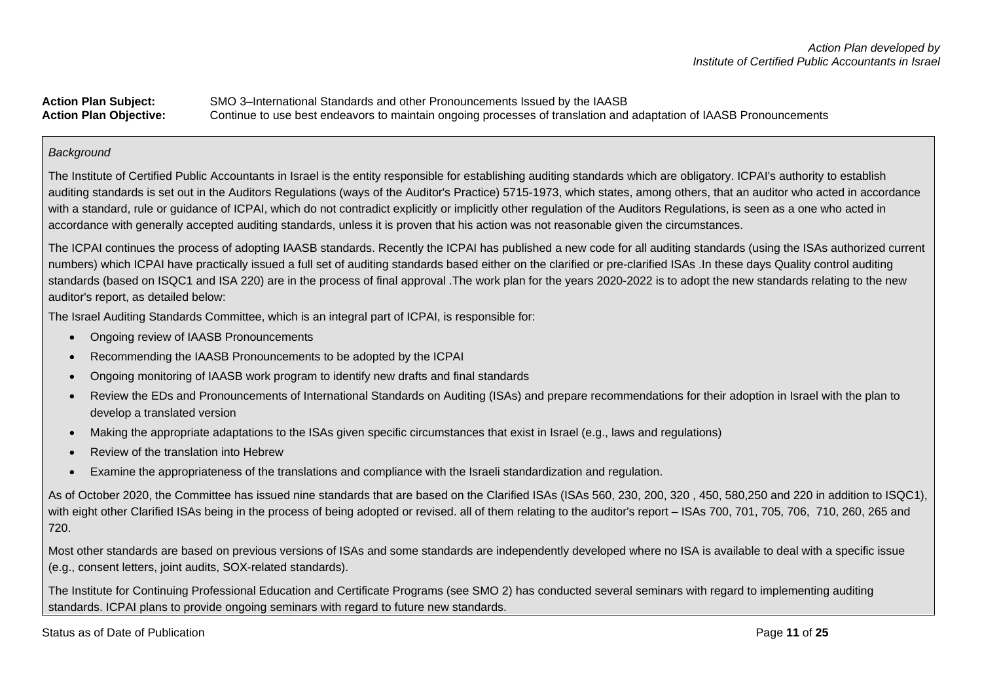**Action Plan Subject:** SMO 3–International Standards and other Pronouncements Issued by the IAASB **Action Plan Objective:** Continue to use best endeavors to maintain ongoing processes of translation and adaptation of IAASB Pronouncements

#### *Background*

The Institute of Certified Public Accountants in Israel is the entity responsible for establishing auditing standards which are obligatory. ICPAI's authority to establish auditing standards is set out in the Auditors Regulations (ways of the Auditor's Practice) 5715-1973, which states, among others, that an auditor who acted in accordance with a standard, rule or guidance of ICPAI, which do not contradict explicitly or implicitly other regulation of the Auditors Regulations, is seen as a one who acted in accordance with generally accepted auditing standards, unless it is proven that his action was not reasonable given the circumstances.

The ICPAI continues the process of adopting IAASB standards. Recently the ICPAI has published a new code for all auditing standards (using the ISAs authorized current numbers) which ICPAI have practically issued a full set of auditing standards based either on the clarified or pre-clarified ISAs .In these days Quality control auditing standards (based on ISQC1 and ISA 220) are in the process of final approval .The work plan for the years 2020-2022 is to adopt the new standards relating to the new auditor's report, as detailed below:

The Israel Auditing Standards Committee, which is an integral part of ICPAI, is responsible for:

- Ongoing review of IAASB Pronouncements
- Recommending the IAASB Pronouncements to be adopted by the ICPAI
- Ongoing monitoring of IAASB work program to identify new drafts and final standards
- Review the EDs and Pronouncements of International Standards on Auditing (ISAs) and prepare recommendations for their adoption in Israel with the plan to develop a translated version
- Making the appropriate adaptations to the ISAs given specific circumstances that exist in Israel (e.g., laws and regulations)
- Review of the translation into Hebrew
- Examine the appropriateness of the translations and compliance with the Israeli standardization and regulation.

As of October 2020, the Committee has issued nine standards that are based on the Clarified ISAs (ISAs 560, 230, 200, 320, 450, 580,250 and 220 in addition to ISQC1), with eight other Clarified ISAs being in the process of being adopted or revised. all of them relating to the auditor's report – ISAs 700, 701, 705, 706, 710, 260, 265 and 720.

Most other standards are based on previous versions of ISAs and some standards are independently developed where no ISA is available to deal with a specific issue (e.g., consent letters, joint audits, SOX-related standards).

The Institute for Continuing Professional Education and Certificate Programs (see SMO 2) has conducted several seminars with regard to implementing auditing standards. ICPAI plans to provide ongoing seminars with regard to future new standards.

Status as of Date of Publication **Page 11** of 25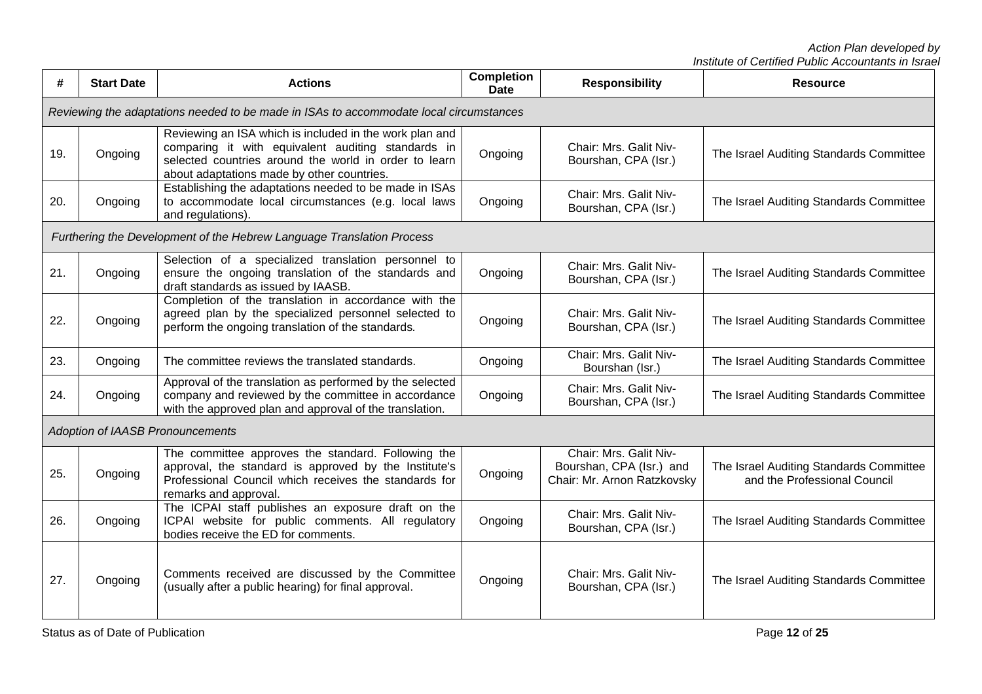| #   | <b>Start Date</b> | <b>Actions</b>                                                                                                                                                                                                       | <b>Completion</b><br>Date | <b>Responsibility</b>                                                             | <b>Resource</b>                                                         |
|-----|-------------------|----------------------------------------------------------------------------------------------------------------------------------------------------------------------------------------------------------------------|---------------------------|-----------------------------------------------------------------------------------|-------------------------------------------------------------------------|
|     |                   | Reviewing the adaptations needed to be made in ISAs to accommodate local circumstances                                                                                                                               |                           |                                                                                   |                                                                         |
| 19. | Ongoing           | Reviewing an ISA which is included in the work plan and<br>comparing it with equivalent auditing standards in<br>selected countries around the world in order to learn<br>about adaptations made by other countries. | Ongoing                   | Chair: Mrs. Galit Niv-<br>Bourshan, CPA (Isr.)                                    | The Israel Auditing Standards Committee                                 |
| 20. | Ongoing           | Establishing the adaptations needed to be made in ISAs<br>to accommodate local circumstances (e.g. local laws<br>and regulations).                                                                                   | Ongoing                   | Chair: Mrs. Galit Niv-<br>Bourshan, CPA (Isr.)                                    | The Israel Auditing Standards Committee                                 |
|     |                   | Furthering the Development of the Hebrew Language Translation Process                                                                                                                                                |                           |                                                                                   |                                                                         |
| 21. | Ongoing           | Selection of a specialized translation personnel to<br>ensure the ongoing translation of the standards and<br>draft standards as issued by IAASB.                                                                    | Ongoing                   | Chair: Mrs. Galit Niv-<br>Bourshan, CPA (Isr.)                                    | The Israel Auditing Standards Committee                                 |
| 22. | Ongoing           | Completion of the translation in accordance with the<br>agreed plan by the specialized personnel selected to<br>perform the ongoing translation of the standards.                                                    | Ongoing                   | Chair: Mrs. Galit Niv-<br>Bourshan, CPA (Isr.)                                    | The Israel Auditing Standards Committee                                 |
| 23. | Ongoing           | The committee reviews the translated standards.                                                                                                                                                                      | Ongoing                   | Chair: Mrs. Galit Niv-<br>Bourshan (Isr.)                                         | The Israel Auditing Standards Committee                                 |
| 24. | Ongoing           | Approval of the translation as performed by the selected<br>company and reviewed by the committee in accordance<br>with the approved plan and approval of the translation.                                           | Ongoing                   | Chair: Mrs. Galit Niv-<br>Bourshan, CPA (Isr.)                                    | The Israel Auditing Standards Committee                                 |
|     |                   | Adoption of IAASB Pronouncements                                                                                                                                                                                     |                           |                                                                                   |                                                                         |
| 25. | Ongoing           | The committee approves the standard. Following the<br>approval, the standard is approved by the Institute's<br>Professional Council which receives the standards for<br>remarks and approval.                        | Ongoing                   | Chair: Mrs. Galit Niv-<br>Bourshan, CPA (Isr.) and<br>Chair: Mr. Arnon Ratzkovsky | The Israel Auditing Standards Committee<br>and the Professional Council |
| 26. | Ongoing           | The ICPAI staff publishes an exposure draft on the<br>ICPAI website for public comments. All regulatory<br>bodies receive the ED for comments.                                                                       | Ongoing                   | Chair: Mrs. Galit Niv-<br>Bourshan, CPA (Isr.)                                    | The Israel Auditing Standards Committee                                 |
| 27. | Ongoing           | Comments received are discussed by the Committee<br>(usually after a public hearing) for final approval.                                                                                                             | Ongoing                   | Chair: Mrs. Galit Niv-<br>Bourshan, CPA (Isr.)                                    | The Israel Auditing Standards Committee                                 |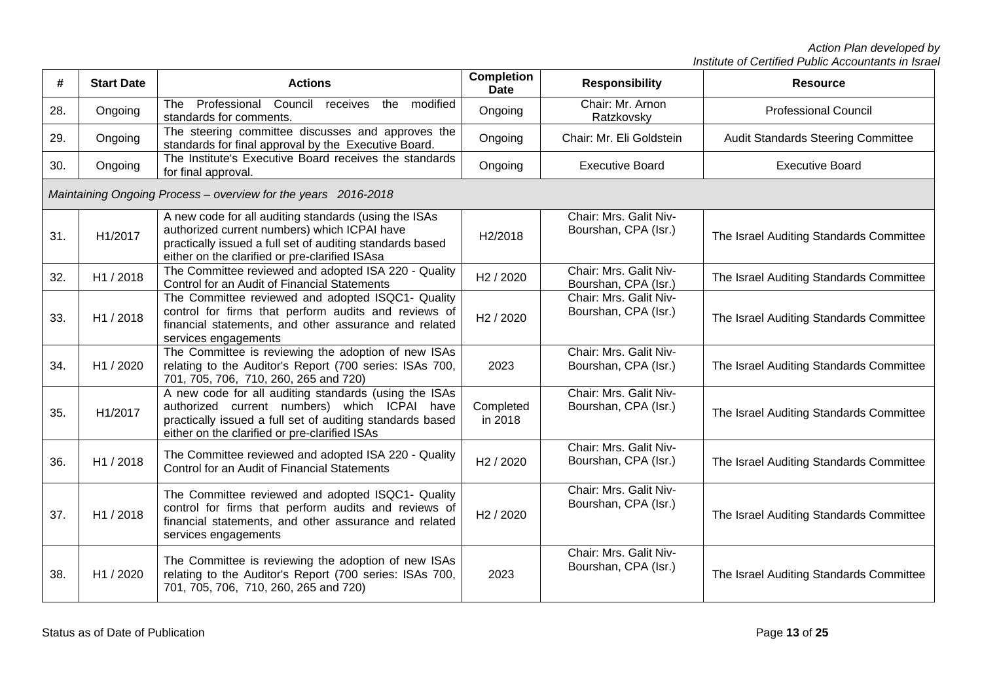| #   | <b>Start Date</b>                                              | <b>Actions</b>                                                                                                                                                                                                       | <b>Completion</b><br><b>Date</b> | <b>Responsibility</b>                          | <b>Resource</b>                           |  |  |  |
|-----|----------------------------------------------------------------|----------------------------------------------------------------------------------------------------------------------------------------------------------------------------------------------------------------------|----------------------------------|------------------------------------------------|-------------------------------------------|--|--|--|
| 28. | Ongoing                                                        | The Professional Council<br>receives<br>the<br>modified<br>standards for comments.                                                                                                                                   | Ongoing                          | Chair: Mr. Arnon<br>Ratzkovsky                 | <b>Professional Council</b>               |  |  |  |
| 29. | Ongoing                                                        | The steering committee discusses and approves the<br>standards for final approval by the Executive Board.                                                                                                            | Ongoing                          | Chair: Mr. Eli Goldstein                       | <b>Audit Standards Steering Committee</b> |  |  |  |
| 30. | Ongoing                                                        | The Institute's Executive Board receives the standards<br>for final approval.                                                                                                                                        | Ongoing                          | <b>Executive Board</b>                         | <b>Executive Board</b>                    |  |  |  |
|     | Maintaining Ongoing Process - overview for the years 2016-2018 |                                                                                                                                                                                                                      |                                  |                                                |                                           |  |  |  |
| 31. | H1/2017                                                        | A new code for all auditing standards (using the ISAs<br>authorized current numbers) which ICPAI have<br>practically issued a full set of auditing standards based<br>either on the clarified or pre-clarified ISAsa | H2/2018                          | Chair: Mrs. Galit Niv-<br>Bourshan, CPA (Isr.) | The Israel Auditing Standards Committee   |  |  |  |
| 32. | H1 / 2018                                                      | The Committee reviewed and adopted ISA 220 - Quality<br>Control for an Audit of Financial Statements                                                                                                                 | H <sub>2</sub> / 2020            | Chair: Mrs. Galit Niv-<br>Bourshan, CPA (Isr.) | The Israel Auditing Standards Committee   |  |  |  |
| 33. | H1 / 2018                                                      | The Committee reviewed and adopted ISQC1- Quality<br>control for firms that perform audits and reviews of<br>financial statements, and other assurance and related<br>services engagements                           | H <sub>2</sub> / 2020            | Chair: Mrs. Galit Niv-<br>Bourshan, CPA (Isr.) | The Israel Auditing Standards Committee   |  |  |  |
| 34. | H1 / 2020                                                      | The Committee is reviewing the adoption of new ISAs<br>relating to the Auditor's Report (700 series: ISAs 700,<br>701, 705, 706, 710, 260, 265 and 720)                                                              | 2023                             | Chair: Mrs. Galit Niv-<br>Bourshan, CPA (Isr.) | The Israel Auditing Standards Committee   |  |  |  |
| 35. | H1/2017                                                        | A new code for all auditing standards (using the ISAs<br>authorized current numbers) which ICPAI have<br>practically issued a full set of auditing standards based<br>either on the clarified or pre-clarified ISAs  | Completed<br>in 2018             | Chair: Mrs. Galit Niv-<br>Bourshan, CPA (Isr.) | The Israel Auditing Standards Committee   |  |  |  |
| 36. | H1 / 2018                                                      | The Committee reviewed and adopted ISA 220 - Quality<br>Control for an Audit of Financial Statements                                                                                                                 | H <sub>2</sub> / 2020            | Chair: Mrs. Galit Niv-<br>Bourshan, CPA (Isr.) | The Israel Auditing Standards Committee   |  |  |  |
| 37. | H1 / 2018                                                      | The Committee reviewed and adopted ISQC1- Quality<br>control for firms that perform audits and reviews of<br>financial statements, and other assurance and related<br>services engagements                           | H <sub>2</sub> / 2020            | Chair: Mrs. Galit Niv-<br>Bourshan, CPA (Isr.) | The Israel Auditing Standards Committee   |  |  |  |
| 38. | H1 / 2020                                                      | The Committee is reviewing the adoption of new ISAs<br>relating to the Auditor's Report (700 series: ISAs 700,<br>701, 705, 706, 710, 260, 265 and 720)                                                              | 2023                             | Chair: Mrs. Galit Niv-<br>Bourshan, CPA (Isr.) | The Israel Auditing Standards Committee   |  |  |  |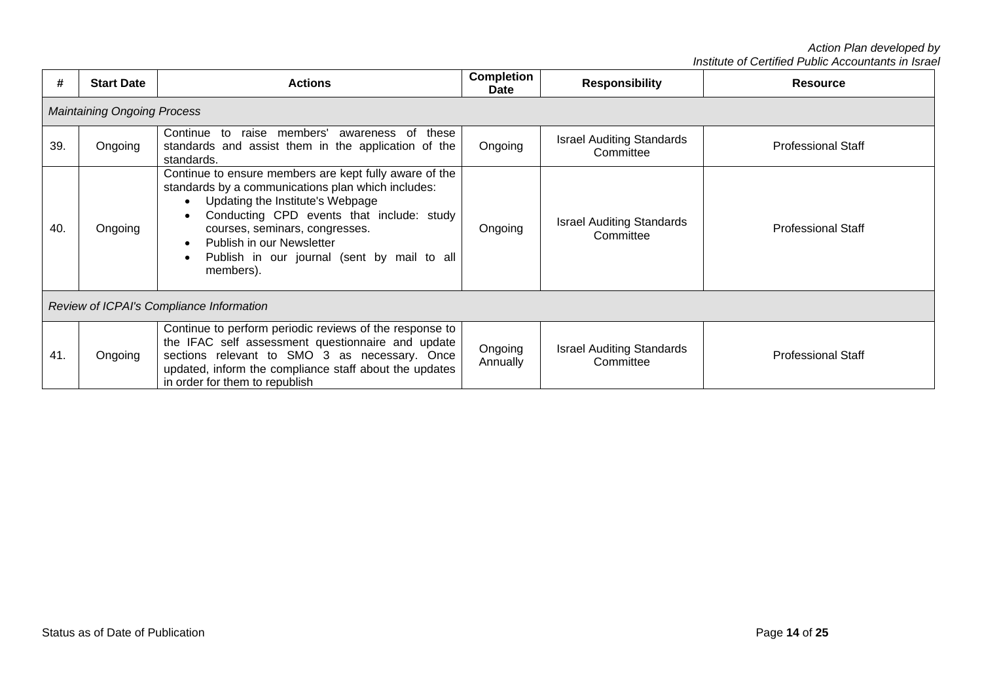| #   | <b>Start Date</b>                        | <b>Actions</b>                                                                                                                                                                                                                                                                                                                        | <b>Completion</b><br><b>Date</b> | <b>Responsibility</b>                         | <b>Resource</b>           |  |  |  |
|-----|------------------------------------------|---------------------------------------------------------------------------------------------------------------------------------------------------------------------------------------------------------------------------------------------------------------------------------------------------------------------------------------|----------------------------------|-----------------------------------------------|---------------------------|--|--|--|
|     | <b>Maintaining Ongoing Process</b>       |                                                                                                                                                                                                                                                                                                                                       |                                  |                                               |                           |  |  |  |
| 39. | Ongoing                                  | raise members'<br>Continue to<br>awareness of<br>these<br>standards and assist them in the application of the<br>standards.                                                                                                                                                                                                           | Ongoing                          | <b>Israel Auditing Standards</b><br>Committee | <b>Professional Staff</b> |  |  |  |
| 40. | Ongoing                                  | Continue to ensure members are kept fully aware of the<br>standards by a communications plan which includes:<br>Updating the Institute's Webpage<br>$\bullet$<br>Conducting CPD events that include: study<br>courses, seminars, congresses.<br>Publish in our Newsletter<br>Publish in our journal (sent by mail to all<br>members). | Ongoing                          | <b>Israel Auditing Standards</b><br>Committee | <b>Professional Staff</b> |  |  |  |
|     | Review of ICPAI's Compliance Information |                                                                                                                                                                                                                                                                                                                                       |                                  |                                               |                           |  |  |  |
| 41. | Ongoing                                  | Continue to perform periodic reviews of the response to<br>the IFAC self assessment questionnaire and update<br>sections relevant to SMO 3 as necessary. Once<br>updated, inform the compliance staff about the updates<br>in order for them to republish                                                                             | Ongoing<br>Annually              | <b>Israel Auditing Standards</b><br>Committee | <b>Professional Staff</b> |  |  |  |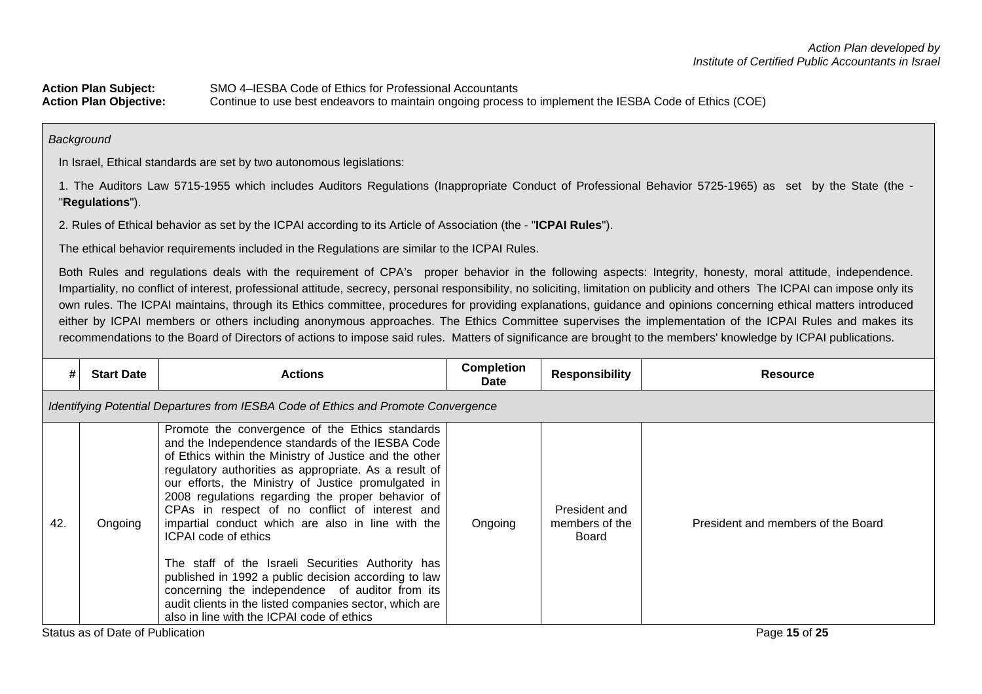Action Plan Subject:<br>
SMO 4-IESBA Code of Ethics for Professional Accountants<br>
Action Plan Objective:<br>
Continue to use best endeavors to maintain ongoing process **Action Plan Objective:** Continue to use best endeavors to maintain ongoing process to implement the IESBA Code of Ethics (COE)

*Background*

In Israel, Ethical standards are set by two autonomous legislations:

1. The Auditors Law 5715-1955 which includes Auditors Regulations (Inappropriate Conduct of Professional Behavior 5725-1965) as set by the State (the - "**Regulations**").

2. Rules of Ethical behavior as set by the ICPAI according to its Article of Association (the - "**ICPAI Rules**").

The ethical behavior requirements included in the Regulations are similar to the ICPAI Rules.

Both Rules and regulations deals with the requirement of CPA's proper behavior in the following aspects: Integrity, honesty, moral attitude, independence. Impartiality, no conflict of interest, professional attitude, secrecy, personal responsibility, no soliciting, limitation on publicity and others The ICPAI can impose only its own rules. The ICPAI maintains, through its Ethics committee, procedures for providing explanations, guidance and opinions concerning ethical matters introduced either by ICPAI members or others including anonymous approaches. The Ethics Committee supervises the implementation of the ICPAI Rules and makes its recommendations to the Board of Directors of actions to impose said rules. Matters of significance are brought to the members' knowledge by ICPAI publications.

| #   | <b>Start Date</b>                                                                  | <b>Actions</b>                                                                                                                                                                                                                                                                                                                                                                                                                                                                                                                                                                                                                                                                                                                                    | <b>Completion</b><br>Date | <b>Responsibility</b>                    | <b>Resource</b>                    |  |  |  |  |
|-----|------------------------------------------------------------------------------------|---------------------------------------------------------------------------------------------------------------------------------------------------------------------------------------------------------------------------------------------------------------------------------------------------------------------------------------------------------------------------------------------------------------------------------------------------------------------------------------------------------------------------------------------------------------------------------------------------------------------------------------------------------------------------------------------------------------------------------------------------|---------------------------|------------------------------------------|------------------------------------|--|--|--|--|
|     | Identifying Potential Departures from IESBA Code of Ethics and Promote Convergence |                                                                                                                                                                                                                                                                                                                                                                                                                                                                                                                                                                                                                                                                                                                                                   |                           |                                          |                                    |  |  |  |  |
| 42. | Ongoing                                                                            | Promote the convergence of the Ethics standards<br>and the Independence standards of the IESBA Code<br>of Ethics within the Ministry of Justice and the other<br>regulatory authorities as appropriate. As a result of<br>our efforts, the Ministry of Justice promulgated in<br>2008 regulations regarding the proper behavior of<br>CPAs in respect of no conflict of interest and<br>impartial conduct which are also in line with the<br><b>ICPAI code of ethics</b><br>The staff of the Israeli Securities Authority has<br>published in 1992 a public decision according to law<br>concerning the independence of auditor from its<br>audit clients in the listed companies sector, which are<br>also in line with the ICPAI code of ethics | Ongoing                   | President and<br>members of the<br>Board | President and members of the Board |  |  |  |  |

Status as of Date of Publication Page **15** of **25**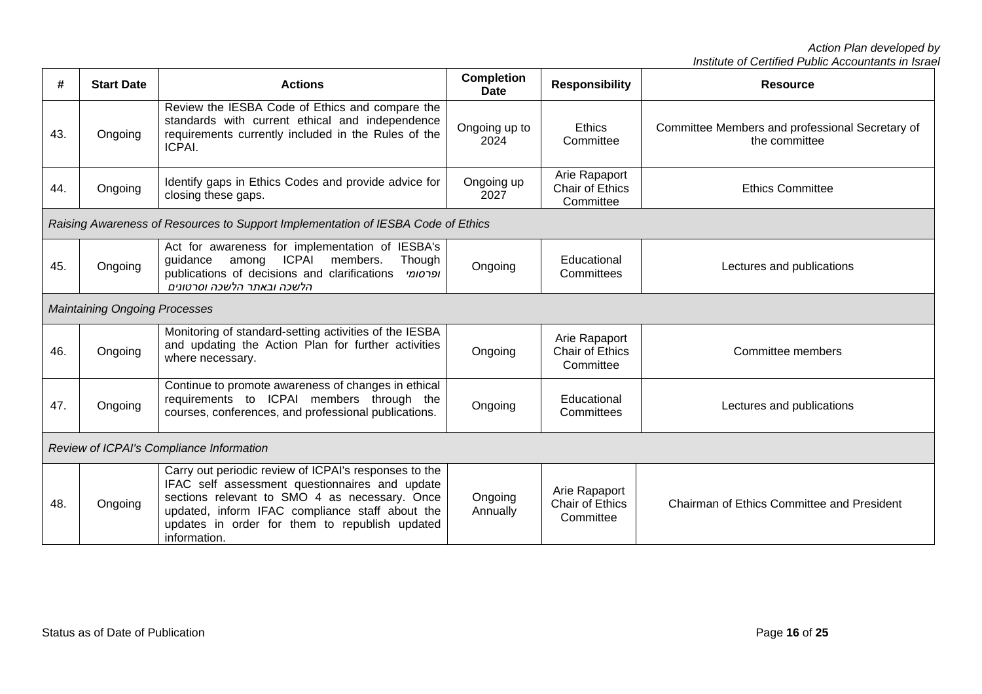| #   | <b>Start Date</b>                        | <b>Actions</b>                                                                                                                                                                                                                                                                | <b>Completion</b><br><b>Date</b> | <b>Responsibility</b>                                | <b>Resource</b>                                                  |  |  |
|-----|------------------------------------------|-------------------------------------------------------------------------------------------------------------------------------------------------------------------------------------------------------------------------------------------------------------------------------|----------------------------------|------------------------------------------------------|------------------------------------------------------------------|--|--|
| 43. | Ongoing                                  | Review the IESBA Code of Ethics and compare the<br>standards with current ethical and independence<br>requirements currently included in the Rules of the<br>ICPAI.                                                                                                           | Ongoing up to<br>2024            | <b>Ethics</b><br>Committee                           | Committee Members and professional Secretary of<br>the committee |  |  |
| 44. | Ongoing                                  | Identify gaps in Ethics Codes and provide advice for<br>closing these gaps.                                                                                                                                                                                                   | Ongoing up<br>2027               | Arie Rapaport<br>Chair of Ethics<br>Committee        | <b>Ethics Committee</b>                                          |  |  |
|     |                                          | Raising Awareness of Resources to Support Implementation of IESBA Code of Ethics                                                                                                                                                                                              |                                  |                                                      |                                                                  |  |  |
| 45. | Ongoing                                  | Act for awareness for implementation of IESBA's<br><b>ICPAI</b><br>Though<br>guidance<br>among<br>members.<br>publications of decisions and clarifications<br>ופרסומי<br>הלשכה ובאתר הלשכה וסרטונים                                                                           | Ongoing                          | Educational<br>Committees                            | Lectures and publications                                        |  |  |
|     | <b>Maintaining Ongoing Processes</b>     |                                                                                                                                                                                                                                                                               |                                  |                                                      |                                                                  |  |  |
| 46. | Ongoing                                  | Monitoring of standard-setting activities of the IESBA<br>and updating the Action Plan for further activities<br>where necessary.                                                                                                                                             | Ongoing                          | Arie Rapaport<br><b>Chair of Ethics</b><br>Committee | Committee members                                                |  |  |
| 47. | Ongoing                                  | Continue to promote awareness of changes in ethical<br>requirements to ICPAI members through the<br>courses, conferences, and professional publications.                                                                                                                      | Ongoing                          | Educational<br>Committees                            | Lectures and publications                                        |  |  |
|     | Review of ICPAI's Compliance Information |                                                                                                                                                                                                                                                                               |                                  |                                                      |                                                                  |  |  |
| 48. | Ongoing                                  | Carry out periodic review of ICPAI's responses to the<br>IFAC self assessment questionnaires and update<br>sections relevant to SMO 4 as necessary. Once<br>updated, inform IFAC compliance staff about the<br>updates in order for them to republish updated<br>information. | Ongoing<br>Annually              | Arie Rapaport<br><b>Chair of Ethics</b><br>Committee | <b>Chairman of Ethics Committee and President</b>                |  |  |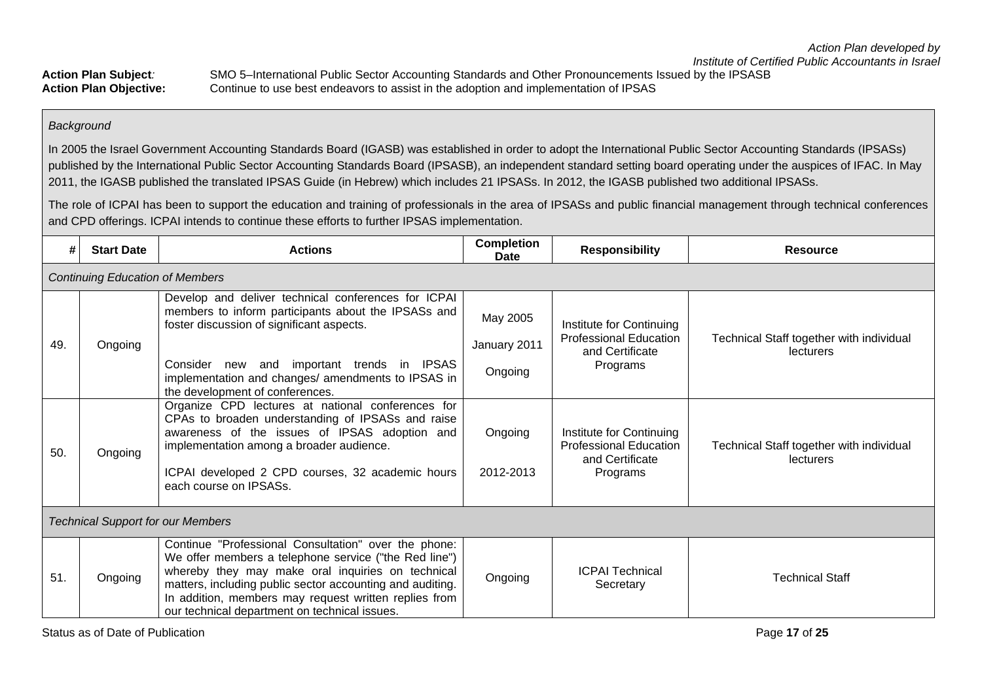Action Plan Subject: SMO 5–International Public Sector Accounting Standards and Other Pronouncements Issued by the IPSASB<br>Action Plan Objective: Continue to use best endeavors to assist in the adoption and implementation o Continue to use best endeavors to assist in the adoption and implementation of IPSAS

## *Background*

In 2005 the Israel Government Accounting Standards Board (IGASB) was established in order to adopt the International Public Sector Accounting Standards (IPSASs) published by the International Public Sector Accounting Standards Board (IPSASB), an independent standard setting board operating under the auspices of IFAC. In May 2011, the IGASB published the translated IPSAS Guide (in Hebrew) which includes 21 IPSASs. In 2012, the IGASB published two additional IPSASs.

The role of ICPAI has been to support the education and training of professionals in the area of IPSASs and public financial management through technical conferences and CPD offerings. ICPAI intends to continue these efforts to further IPSAS implementation.

| #   | <b>Start Date</b>                        | <b>Actions</b>                                                                                                                                                                                                                                                                                                                            | <b>Completion</b><br>Date           | <b>Responsibility</b>                                                                    | <b>Resource</b>                                       |  |  |
|-----|------------------------------------------|-------------------------------------------------------------------------------------------------------------------------------------------------------------------------------------------------------------------------------------------------------------------------------------------------------------------------------------------|-------------------------------------|------------------------------------------------------------------------------------------|-------------------------------------------------------|--|--|
|     | <b>Continuing Education of Members</b>   |                                                                                                                                                                                                                                                                                                                                           |                                     |                                                                                          |                                                       |  |  |
| 49. | Ongoing                                  | Develop and deliver technical conferences for ICPAI<br>members to inform participants about the IPSASs and<br>foster discussion of significant aspects.<br>Consider new and important trends in IPSAS<br>implementation and changes/ amendments to IPSAS in<br>the development of conferences.                                            | May 2005<br>January 2011<br>Ongoing | Institute for Continuing<br><b>Professional Education</b><br>and Certificate<br>Programs | Technical Staff together with individual<br>lecturers |  |  |
| 50. | Ongoing                                  | Organize CPD lectures at national conferences for<br>CPAs to broaden understanding of IPSASs and raise<br>awareness of the issues of IPSAS adoption and<br>implementation among a broader audience.<br>ICPAI developed 2 CPD courses, 32 academic hours<br>each course on IPSASs.                                                         | Ongoing<br>2012-2013                | Institute for Continuing<br><b>Professional Education</b><br>and Certificate<br>Programs | Technical Staff together with individual<br>lecturers |  |  |
|     | <b>Technical Support for our Members</b> |                                                                                                                                                                                                                                                                                                                                           |                                     |                                                                                          |                                                       |  |  |
| 51. | Ongoing                                  | Continue "Professional Consultation" over the phone:<br>We offer members a telephone service ("the Red line")<br>whereby they may make oral inquiries on technical<br>matters, including public sector accounting and auditing.<br>In addition, members may request written replies from<br>our technical department on technical issues. | Ongoing                             | <b>ICPAI Technical</b><br>Secretary                                                      | <b>Technical Staff</b>                                |  |  |

Status as of Date of Publication **Page 17** of 25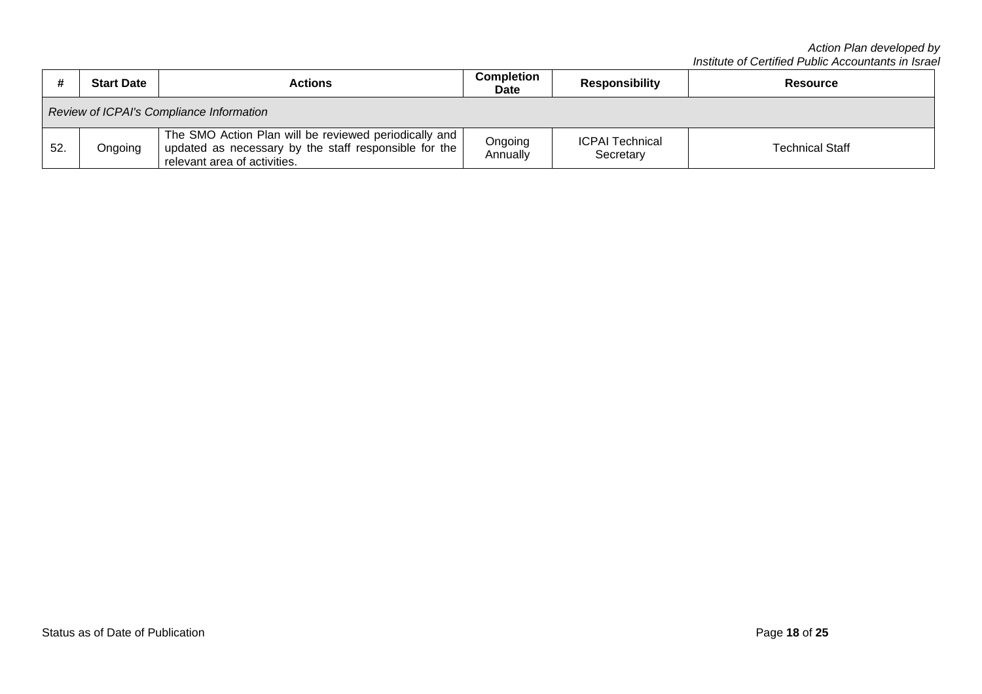|                                          | <b>Start Date</b> | <b>Actions</b>                                                                                                                                 | Completion<br><b>Date</b> | <b>Responsibility</b>               | <b>Resource</b>        |
|------------------------------------------|-------------------|------------------------------------------------------------------------------------------------------------------------------------------------|---------------------------|-------------------------------------|------------------------|
| Review of ICPAI's Compliance Information |                   |                                                                                                                                                |                           |                                     |                        |
| 52.                                      | Ongoing           | The SMO Action Plan will be reviewed periodically and<br>updated as necessary by the staff responsible for the<br>relevant area of activities. | Ongoing<br>Annually       | <b>ICPAI Technical</b><br>Secretary | <b>Technical Staff</b> |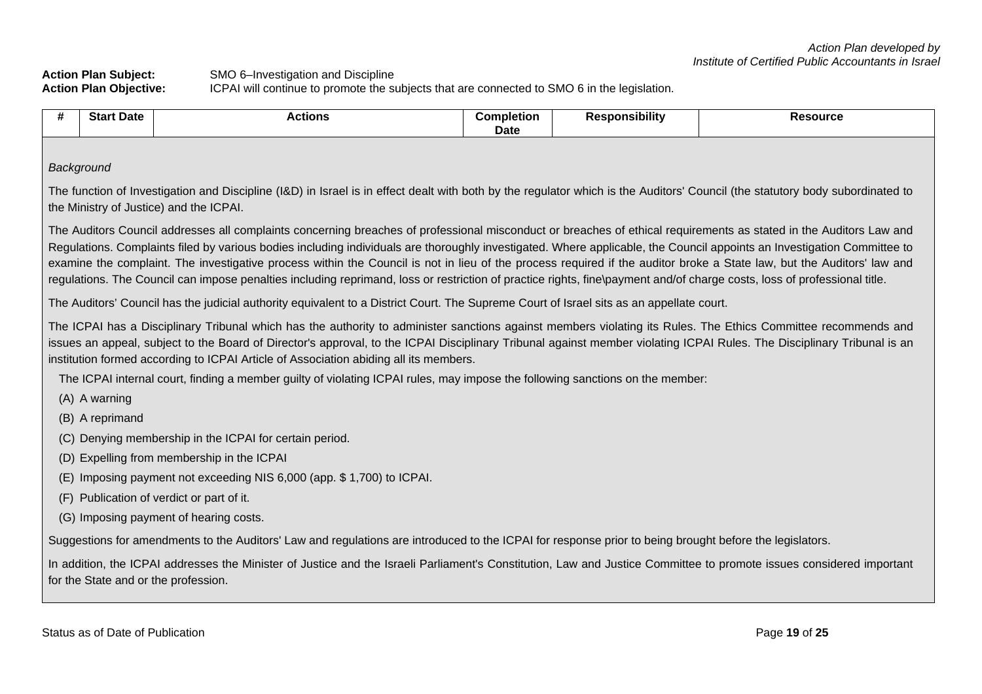**Action Plan Subject:** SMO 6–Investigation and Discipline **Action Plan Objective:** ICPAI will continue to promote the subjects that are connected to SMO 6 in the legislation.

| #   | <b>Start Date</b>                                                                                                                                                                                                                                                                                                                                                                                                                                                                                                                                                                                                                                                                                   | <b>Actions</b>                                                                                                                                                                                                                                                                                                                                                                                                                     | <b>Completion</b><br><b>Date</b> | <b>Responsibility</b> | <b>Resource</b> |  |  |
|-----|-----------------------------------------------------------------------------------------------------------------------------------------------------------------------------------------------------------------------------------------------------------------------------------------------------------------------------------------------------------------------------------------------------------------------------------------------------------------------------------------------------------------------------------------------------------------------------------------------------------------------------------------------------------------------------------------------------|------------------------------------------------------------------------------------------------------------------------------------------------------------------------------------------------------------------------------------------------------------------------------------------------------------------------------------------------------------------------------------------------------------------------------------|----------------------------------|-----------------------|-----------------|--|--|
|     |                                                                                                                                                                                                                                                                                                                                                                                                                                                                                                                                                                                                                                                                                                     |                                                                                                                                                                                                                                                                                                                                                                                                                                    |                                  |                       |                 |  |  |
|     | Background                                                                                                                                                                                                                                                                                                                                                                                                                                                                                                                                                                                                                                                                                          |                                                                                                                                                                                                                                                                                                                                                                                                                                    |                                  |                       |                 |  |  |
|     |                                                                                                                                                                                                                                                                                                                                                                                                                                                                                                                                                                                                                                                                                                     | The function of Investigation and Discipline (I&D) in Israel is in effect dealt with both by the regulator which is the Auditors' Council (the statutory body subordinated to<br>the Ministry of Justice) and the ICPAI.                                                                                                                                                                                                           |                                  |                       |                 |  |  |
|     | The Auditors Council addresses all complaints concerning breaches of professional misconduct or breaches of ethical requirements as stated in the Auditors Law and<br>Regulations. Complaints filed by various bodies including individuals are thoroughly investigated. Where applicable, the Council appoints an Investigation Committee to<br>examine the complaint. The investigative process within the Council is not in lieu of the process required if the auditor broke a State law, but the Auditors' law and<br>regulations. The Council can impose penalties including reprimand, loss or restriction of practice rights, fine payment and/of charge costs, loss of professional title. |                                                                                                                                                                                                                                                                                                                                                                                                                                    |                                  |                       |                 |  |  |
|     |                                                                                                                                                                                                                                                                                                                                                                                                                                                                                                                                                                                                                                                                                                     | The Auditors' Council has the judicial authority equivalent to a District Court. The Supreme Court of Israel sits as an appellate court.                                                                                                                                                                                                                                                                                           |                                  |                       |                 |  |  |
|     |                                                                                                                                                                                                                                                                                                                                                                                                                                                                                                                                                                                                                                                                                                     | The ICPAI has a Disciplinary Tribunal which has the authority to administer sanctions against members violating its Rules. The Ethics Committee recommends and<br>issues an appeal, subject to the Board of Director's approval, to the ICPAI Disciplinary Tribunal against member violating ICPAI Rules. The Disciplinary Tribunal is an<br>institution formed according to ICPAI Article of Association abiding all its members. |                                  |                       |                 |  |  |
|     |                                                                                                                                                                                                                                                                                                                                                                                                                                                                                                                                                                                                                                                                                                     | The ICPAI internal court, finding a member guilty of violating ICPAI rules, may impose the following sanctions on the member:                                                                                                                                                                                                                                                                                                      |                                  |                       |                 |  |  |
|     | (A) A warning                                                                                                                                                                                                                                                                                                                                                                                                                                                                                                                                                                                                                                                                                       |                                                                                                                                                                                                                                                                                                                                                                                                                                    |                                  |                       |                 |  |  |
|     | (B) A reprimand                                                                                                                                                                                                                                                                                                                                                                                                                                                                                                                                                                                                                                                                                     |                                                                                                                                                                                                                                                                                                                                                                                                                                    |                                  |                       |                 |  |  |
|     |                                                                                                                                                                                                                                                                                                                                                                                                                                                                                                                                                                                                                                                                                                     | (C) Denying membership in the ICPAI for certain period.                                                                                                                                                                                                                                                                                                                                                                            |                                  |                       |                 |  |  |
|     |                                                                                                                                                                                                                                                                                                                                                                                                                                                                                                                                                                                                                                                                                                     | (D) Expelling from membership in the ICPAI                                                                                                                                                                                                                                                                                                                                                                                         |                                  |                       |                 |  |  |
| (E) |                                                                                                                                                                                                                                                                                                                                                                                                                                                                                                                                                                                                                                                                                                     | Imposing payment not exceeding NIS 6,000 (app. \$1,700) to ICPAI.                                                                                                                                                                                                                                                                                                                                                                  |                                  |                       |                 |  |  |
| (F) |                                                                                                                                                                                                                                                                                                                                                                                                                                                                                                                                                                                                                                                                                                     | Publication of verdict or part of it.                                                                                                                                                                                                                                                                                                                                                                                              |                                  |                       |                 |  |  |
|     | (G) Imposing payment of hearing costs.                                                                                                                                                                                                                                                                                                                                                                                                                                                                                                                                                                                                                                                              |                                                                                                                                                                                                                                                                                                                                                                                                                                    |                                  |                       |                 |  |  |
|     | Suggestions for amendments to the Auditors' Law and regulations are introduced to the ICPAI for response prior to being brought before the legislators.                                                                                                                                                                                                                                                                                                                                                                                                                                                                                                                                             |                                                                                                                                                                                                                                                                                                                                                                                                                                    |                                  |                       |                 |  |  |
|     |                                                                                                                                                                                                                                                                                                                                                                                                                                                                                                                                                                                                                                                                                                     | In addition, the ICPAI addresses the Minister of Justice and the Israeli Parliament's Constitution, Law and Justice Committee to promote issues considered important<br>for the State and or the profession.                                                                                                                                                                                                                       |                                  |                       |                 |  |  |
|     |                                                                                                                                                                                                                                                                                                                                                                                                                                                                                                                                                                                                                                                                                                     |                                                                                                                                                                                                                                                                                                                                                                                                                                    |                                  |                       |                 |  |  |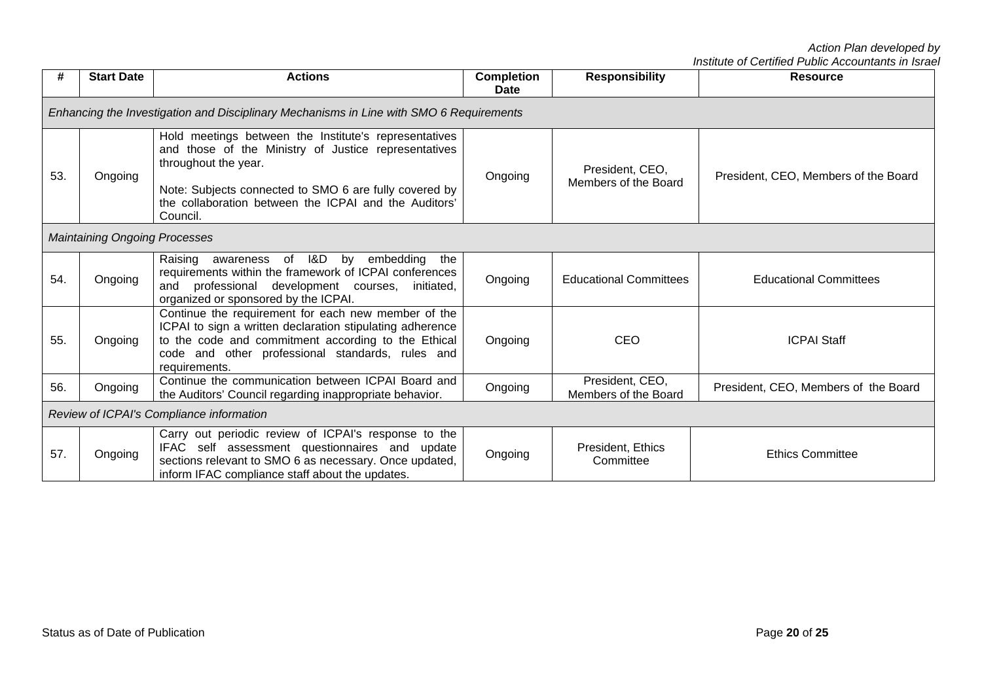| #   | <b>Start Date</b>                    | <b>Actions</b>                                                                                                                                                                                                                                                       | <b>Completion</b><br>Date | <b>Responsibility</b>                   | <b>Resource</b>                      |
|-----|--------------------------------------|----------------------------------------------------------------------------------------------------------------------------------------------------------------------------------------------------------------------------------------------------------------------|---------------------------|-----------------------------------------|--------------------------------------|
|     |                                      | Enhancing the Investigation and Disciplinary Mechanisms in Line with SMO 6 Requirements                                                                                                                                                                              |                           |                                         |                                      |
| 53. | Ongoing                              | Hold meetings between the Institute's representatives<br>and those of the Ministry of Justice representatives<br>throughout the year.<br>Note: Subjects connected to SMO 6 are fully covered by<br>the collaboration between the ICPAI and the Auditors'<br>Council. | Ongoing                   | President, CEO,<br>Members of the Board | President, CEO, Members of the Board |
|     | <b>Maintaining Ongoing Processes</b> |                                                                                                                                                                                                                                                                      |                           |                                         |                                      |
| 54. | Ongoing                              | Raising awareness of I&D<br>by embedding<br>the<br>requirements within the framework of ICPAI conferences<br>professional development courses,<br>initiated,<br>and<br>organized or sponsored by the ICPAI.                                                          | Ongoing                   | <b>Educational Committees</b>           | <b>Educational Committees</b>        |
| 55. | Ongoing                              | Continue the requirement for each new member of the<br>ICPAI to sign a written declaration stipulating adherence<br>to the code and commitment according to the Ethical<br>code and other professional standards, rules and<br>requirements.                         | Ongoing                   | CEO                                     | <b>ICPAI Staff</b>                   |
| 56. | Ongoing                              | Continue the communication between ICPAI Board and<br>the Auditors' Council regarding inappropriate behavior.                                                                                                                                                        | Ongoing                   | President, CEO,<br>Members of the Board | President, CEO, Members of the Board |
|     |                                      | Review of ICPAI's Compliance information                                                                                                                                                                                                                             |                           |                                         |                                      |
| 57. | Ongoing                              | Carry out periodic review of ICPAI's response to the<br>IFAC self assessment questionnaires and update<br>sections relevant to SMO 6 as necessary. Once updated,<br>inform IFAC compliance staff about the updates.                                                  | Ongoing                   | President, Ethics<br>Committee          | <b>Ethics Committee</b>              |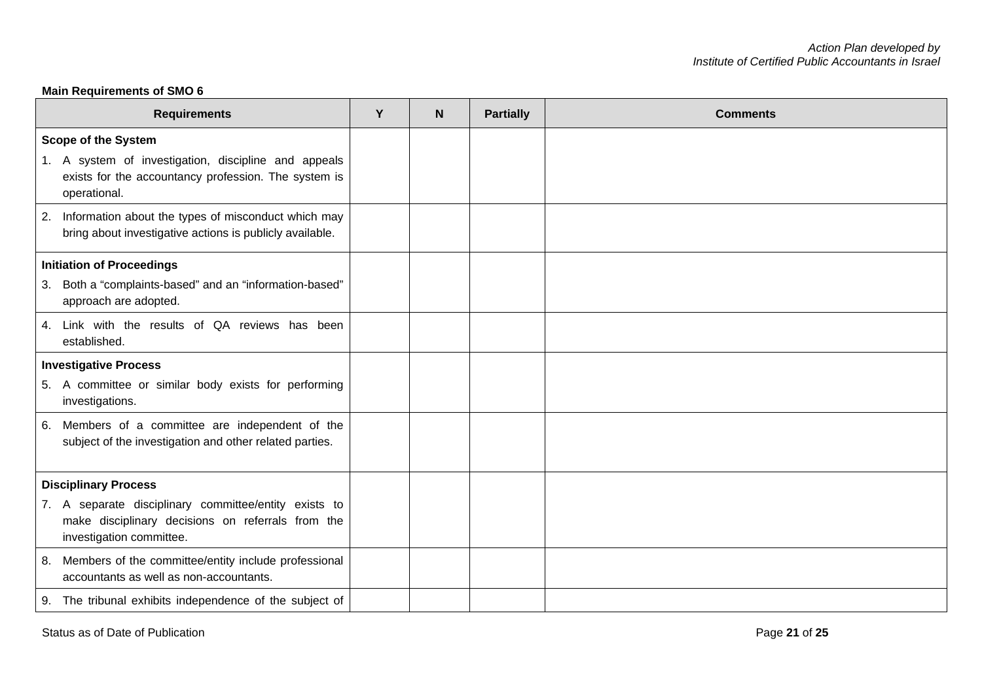# **Main Requirements of SMO 6**

| <b>Requirements</b>                                                                                                                    | Y | N | <b>Partially</b> | <b>Comments</b> |
|----------------------------------------------------------------------------------------------------------------------------------------|---|---|------------------|-----------------|
| <b>Scope of the System</b>                                                                                                             |   |   |                  |                 |
| 1. A system of investigation, discipline and appeals<br>exists for the accountancy profession. The system is<br>operational.           |   |   |                  |                 |
| 2. Information about the types of misconduct which may<br>bring about investigative actions is publicly available.                     |   |   |                  |                 |
| <b>Initiation of Proceedings</b>                                                                                                       |   |   |                  |                 |
| 3. Both a "complaints-based" and an "information-based"<br>approach are adopted.                                                       |   |   |                  |                 |
| 4. Link with the results of QA reviews has been<br>established.                                                                        |   |   |                  |                 |
| <b>Investigative Process</b>                                                                                                           |   |   |                  |                 |
| 5. A committee or similar body exists for performing<br>investigations.                                                                |   |   |                  |                 |
| 6. Members of a committee are independent of the<br>subject of the investigation and other related parties.                            |   |   |                  |                 |
| <b>Disciplinary Process</b>                                                                                                            |   |   |                  |                 |
| 7. A separate disciplinary committee/entity exists to<br>make disciplinary decisions on referrals from the<br>investigation committee. |   |   |                  |                 |
| 8. Members of the committee/entity include professional<br>accountants as well as non-accountants.                                     |   |   |                  |                 |
| 9. The tribunal exhibits independence of the subject of                                                                                |   |   |                  |                 |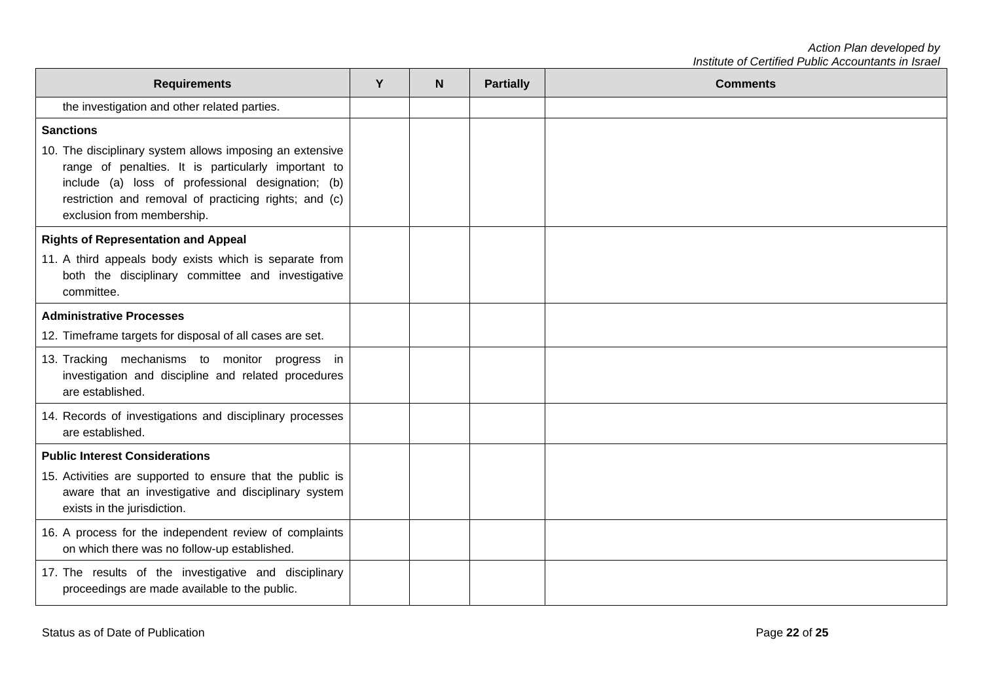*Action Plan developed by Institute of Certified Public Accountants in Israel*

| <b>Requirements</b>                                                                                                                                                                                                                                         | Y | N | <b>Partially</b> | <b>Comments</b> |
|-------------------------------------------------------------------------------------------------------------------------------------------------------------------------------------------------------------------------------------------------------------|---|---|------------------|-----------------|
| the investigation and other related parties.                                                                                                                                                                                                                |   |   |                  |                 |
| <b>Sanctions</b>                                                                                                                                                                                                                                            |   |   |                  |                 |
| 10. The disciplinary system allows imposing an extensive<br>range of penalties. It is particularly important to<br>include (a) loss of professional designation; (b)<br>restriction and removal of practicing rights; and (c)<br>exclusion from membership. |   |   |                  |                 |
| <b>Rights of Representation and Appeal</b>                                                                                                                                                                                                                  |   |   |                  |                 |
| 11. A third appeals body exists which is separate from<br>both the disciplinary committee and investigative<br>committee.                                                                                                                                   |   |   |                  |                 |
| <b>Administrative Processes</b>                                                                                                                                                                                                                             |   |   |                  |                 |
| 12. Timeframe targets for disposal of all cases are set.                                                                                                                                                                                                    |   |   |                  |                 |
| 13. Tracking mechanisms to monitor progress in<br>investigation and discipline and related procedures<br>are established.                                                                                                                                   |   |   |                  |                 |
| 14. Records of investigations and disciplinary processes<br>are established.                                                                                                                                                                                |   |   |                  |                 |
| <b>Public Interest Considerations</b>                                                                                                                                                                                                                       |   |   |                  |                 |
| 15. Activities are supported to ensure that the public is<br>aware that an investigative and disciplinary system<br>exists in the jurisdiction.                                                                                                             |   |   |                  |                 |
| 16. A process for the independent review of complaints<br>on which there was no follow-up established.                                                                                                                                                      |   |   |                  |                 |
| 17. The results of the investigative and disciplinary<br>proceedings are made available to the public.                                                                                                                                                      |   |   |                  |                 |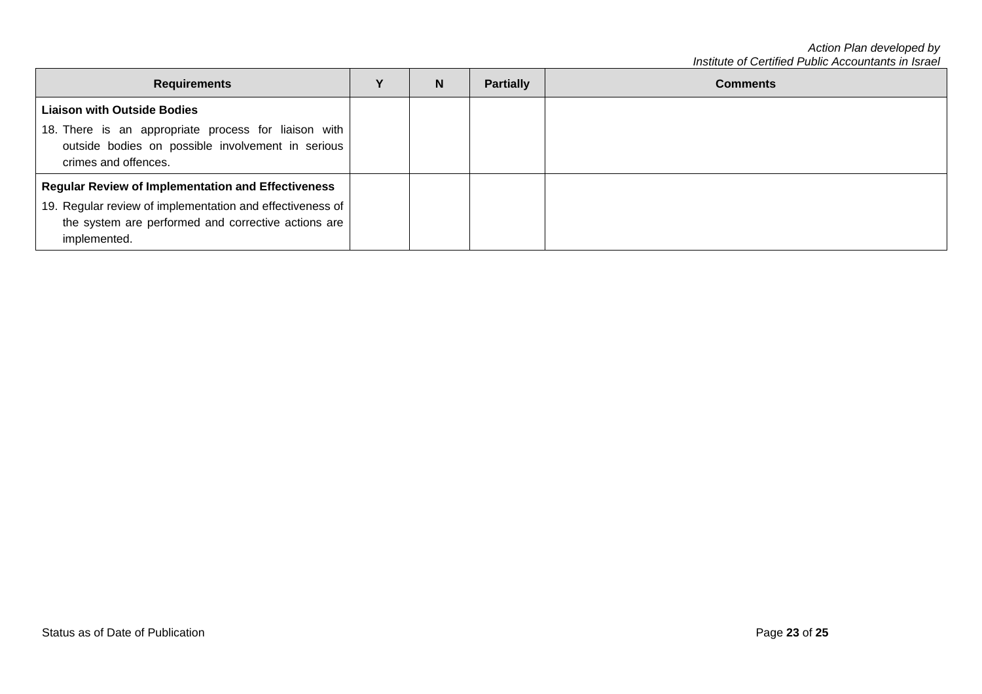*Action Plan developed by Institute of Certified Public Accountants in Israel*

| <b>Requirements</b>                                                                                                                                                                           | N | <b>Partially</b> | <b>Comments</b> |
|-----------------------------------------------------------------------------------------------------------------------------------------------------------------------------------------------|---|------------------|-----------------|
| <b>Liaison with Outside Bodies</b><br>18. There is an appropriate process for liaison with<br>outside bodies on possible involvement in serious<br>crimes and offences.                       |   |                  |                 |
| <b>Regular Review of Implementation and Effectiveness</b><br>19. Regular review of implementation and effectiveness of<br>the system are performed and corrective actions are<br>implemented. |   |                  |                 |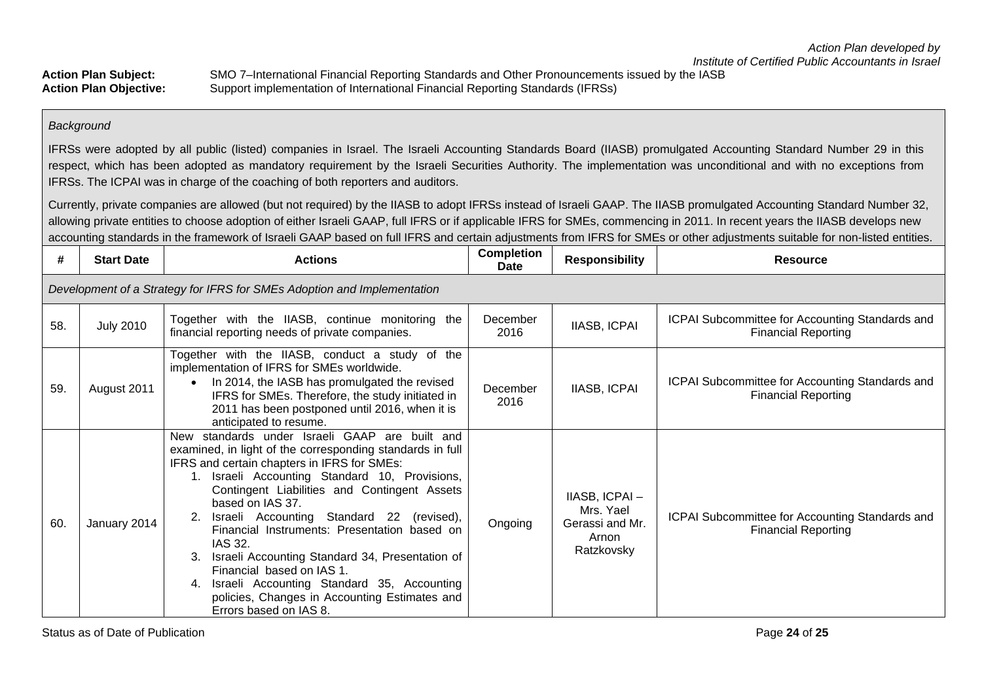Action Plan Subject: SMO 7–International Financial Reporting Standards and Other Pronouncements issued by the IASB<br>Action Plan Objective: Support implementation of International Financial Reporting Standards (IFRSs) **Action Plan Objective:** Support implementation of International Financial Reporting Standards (IFRSs)

#### *Background*

IFRSs were adopted by all public (listed) companies in Israel. The Israeli Accounting Standards Board (IIASB) promulgated Accounting Standard Number 29 in this respect, which has been adopted as mandatory requirement by the Israeli Securities Authority. The implementation was unconditional and with no exceptions from IFRSs. The ICPAI was in charge of the coaching of both reporters and auditors.

Currently, private companies are allowed (but not required) by the IIASB to adopt IFRSs instead of Israeli GAAP. The IIASB promulgated Accounting Standard Number 32, allowing private entities to choose adoption of either Israeli GAAP, full IFRS or if applicable IFRS for SMEs, commencing in 2011. In recent years the IIASB develops new accounting standards in the framework of Israeli GAAP based on full IFRS and certain adjustments from IFRS for SMEs or other adjustments suitable for non-listed entities.

| #   | <b>Start Date</b>                                                       | <b>Actions</b>                                                                                                                                                                                                                                                                                                                                                                                                                                                                                                                                                                                          | <b>Completion</b><br><b>Date</b> | <b>Responsibility</b>                                                | <b>Resource</b>                                                               |  |  |  |  |
|-----|-------------------------------------------------------------------------|---------------------------------------------------------------------------------------------------------------------------------------------------------------------------------------------------------------------------------------------------------------------------------------------------------------------------------------------------------------------------------------------------------------------------------------------------------------------------------------------------------------------------------------------------------------------------------------------------------|----------------------------------|----------------------------------------------------------------------|-------------------------------------------------------------------------------|--|--|--|--|
|     | Development of a Strategy for IFRS for SMEs Adoption and Implementation |                                                                                                                                                                                                                                                                                                                                                                                                                                                                                                                                                                                                         |                                  |                                                                      |                                                                               |  |  |  |  |
| 58. | <b>July 2010</b>                                                        | Together with the IIASB, continue monitoring the<br>financial reporting needs of private companies.                                                                                                                                                                                                                                                                                                                                                                                                                                                                                                     | December<br>2016                 | IIASB, ICPAI                                                         | ICPAI Subcommittee for Accounting Standards and<br><b>Financial Reporting</b> |  |  |  |  |
| 59. | August 2011                                                             | Together with the IIASB, conduct a study of the<br>implementation of IFRS for SMEs worldwide.<br>In 2014, the IASB has promulgated the revised<br>$\bullet$<br>IFRS for SMEs. Therefore, the study initiated in<br>2011 has been postponed until 2016, when it is<br>anticipated to resume.                                                                                                                                                                                                                                                                                                             | December<br>2016                 | <b>IIASB, ICPAI</b>                                                  | ICPAI Subcommittee for Accounting Standards and<br><b>Financial Reporting</b> |  |  |  |  |
| 60. | January 2014                                                            | New standards under Israeli GAAP are built and<br>examined, in light of the corresponding standards in full<br>IFRS and certain chapters in IFRS for SMEs:<br>1. Israeli Accounting Standard 10, Provisions,<br>Contingent Liabilities and Contingent Assets<br>based on IAS 37.<br>Israeli Accounting Standard 22 (revised),<br>Financial Instruments: Presentation based on<br>IAS 32.<br>Israeli Accounting Standard 34, Presentation of<br>Financial based on IAS 1.<br>Israeli Accounting Standard 35, Accounting<br>4.<br>policies, Changes in Accounting Estimates and<br>Errors based on IAS 8. | Ongoing                          | IIASB, ICPAI-<br>Mrs. Yael<br>Gerassi and Mr.<br>Arnon<br>Ratzkovsky | ICPAI Subcommittee for Accounting Standards and<br><b>Financial Reporting</b> |  |  |  |  |

Status as of Date of Publication **Page 24** of 25